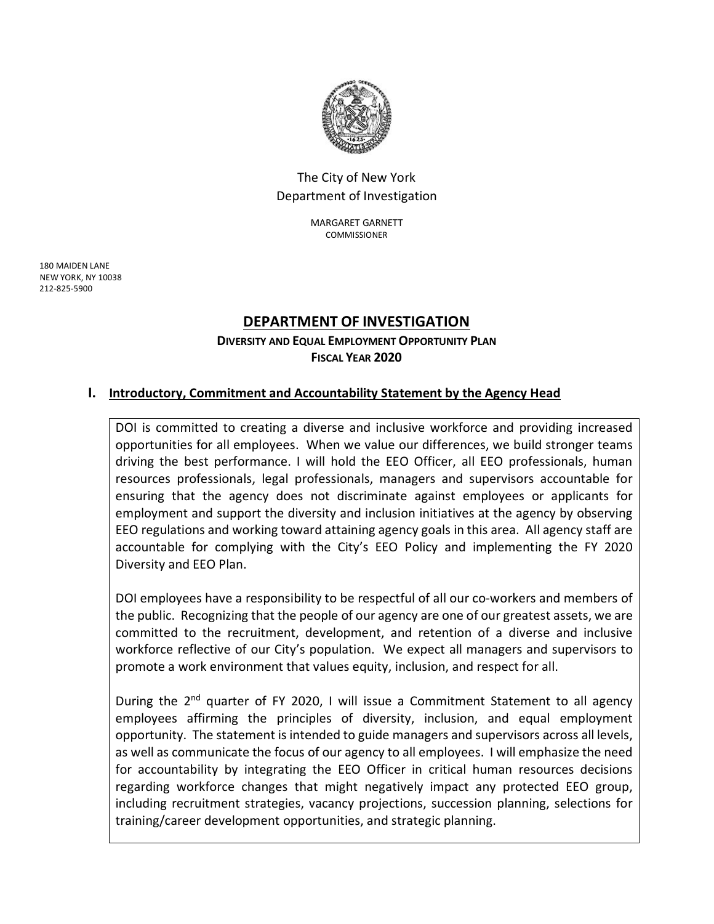

## The City of New York Department of Investigation

MARGARET GARNETT **COMMISSIONER** 

 180 MAIDEN LANE NEW YORK, NY 10038 212-825-5900

## **DEPARTMENT OF INVESTIGATION**

**DIVERSITY AND EQUAL EMPLOYMENT OPPORTUNITY PLAN FISCAL YEAR 2020**

## **I. Introductory, Commitment and Accountability Statement by the Agency Head**

DOI is committed to creating a diverse and inclusive workforce and providing increased opportunities for all employees. When we value our differences, we build stronger teams driving the best performance. I will hold the EEO Officer, all EEO professionals, human resources professionals, legal professionals, managers and supervisors accountable for ensuring that the agency does not discriminate against employees or applicants for employment and support the diversity and inclusion initiatives at the agency by observing EEO regulations and working toward attaining agency goals in this area. All agency staff are accountable for complying with the City's EEO Policy and implementing the FY 2020 Diversity and EEO Plan.

DOI employees have a responsibility to be respectful of all our co-workers and members of the public. Recognizing that the people of our agency are one of our greatest assets, we are committed to the recruitment, development, and retention of a diverse and inclusive workforce reflective of our City's population. We expect all managers and supervisors to promote a work environment that values equity, inclusion, and respect for all.

During the  $2^{nd}$  quarter of FY 2020, I will issue a Commitment Statement to all agency employees affirming the principles of diversity, inclusion, and equal employment opportunity. The statement is intended to guide managers and supervisors across all levels, as well as communicate the focus of our agency to all employees. I will emphasize the need for accountability by integrating the EEO Officer in critical human resources decisions regarding workforce changes that might negatively impact any protected EEO group, including recruitment strategies, vacancy projections, succession planning, selections for training/career development opportunities, and strategic planning.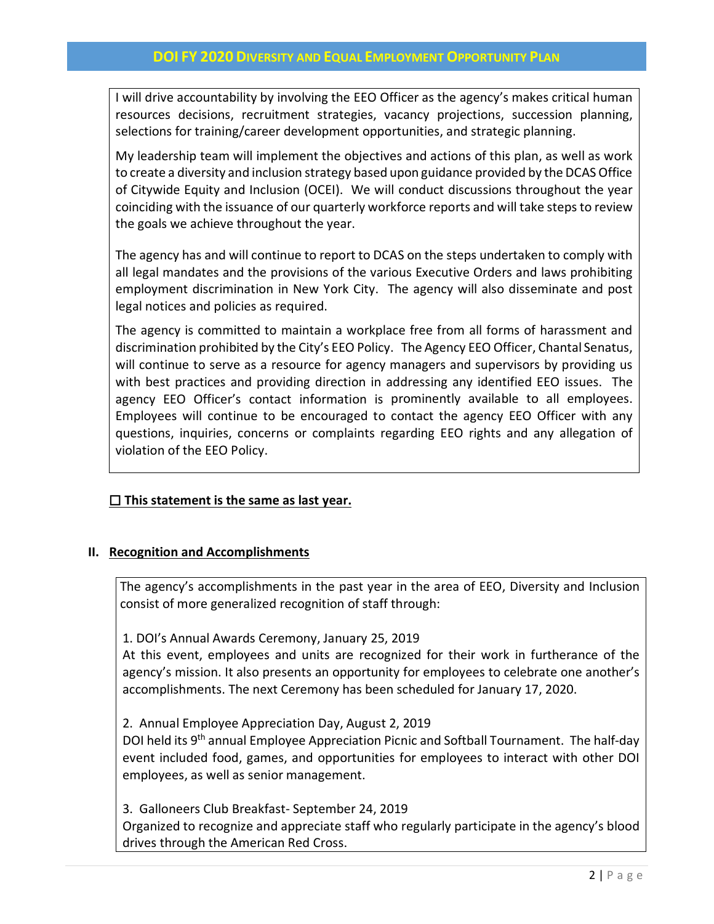I will drive accountability by involving the EEO Officer as the agency's makes critical human resources decisions, recruitment strategies, vacancy projections, succession planning, selections for training/career development opportunities, and strategic planning.

My leadership team will implement the objectives and actions of this plan, as well as work to create a diversity and inclusion strategy based upon guidance provided by the DCAS Office of Citywide Equity and Inclusion (OCEI). We will conduct discussions throughout the year coinciding with the issuance of our quarterly workforce reports and will take steps to review the goals we achieve throughout the year.

The agency has and will continue to report to DCAS on the steps undertaken to comply with all legal mandates and the provisions of the various Executive Orders and laws prohibiting employment discrimination in New York City. The agency will also disseminate and post legal notices and policies as required.

The agency is committed to maintain a workplace free from all forms of harassment and discrimination prohibited by the City's EEO Policy. The Agency EEO Officer, Chantal Senatus, will continue to serve as a resource for agency managers and supervisors by providing us with best practices and providing direction in addressing any identified EEO issues. The agency EEO Officer's contact information is prominently available to all employees. Employees will continue to be encouraged to contact the agency EEO Officer with any questions, inquiries, concerns or complaints regarding EEO rights and any allegation of violation of the EEO Policy.

## ☐ **This statement is the same as last year.**

## **II. Recognition and Accomplishments**

The agency's accomplishments in the past year in the area of EEO, Diversity and Inclusion consist of more generalized recognition of staff through:

1. DOI's Annual Awards Ceremony, January 25, 2019

At this event, employees and units are recognized for their work in furtherance of the agency's mission. It also presents an opportunity for employees to celebrate one another's accomplishments. The next Ceremony has been scheduled for January 17, 2020.

2. Annual Employee Appreciation Day, August 2, 2019

DOI held its 9<sup>th</sup> annual Employee Appreciation Picnic and Softball Tournament. The half-day event included food, games, and opportunities for employees to interact with other DOI employees, as well as senior management.

3. Galloneers Club Breakfast- September 24, 2019

Organized to recognize and appreciate staff who regularly participate in the agency's blood drives through the American Red Cross.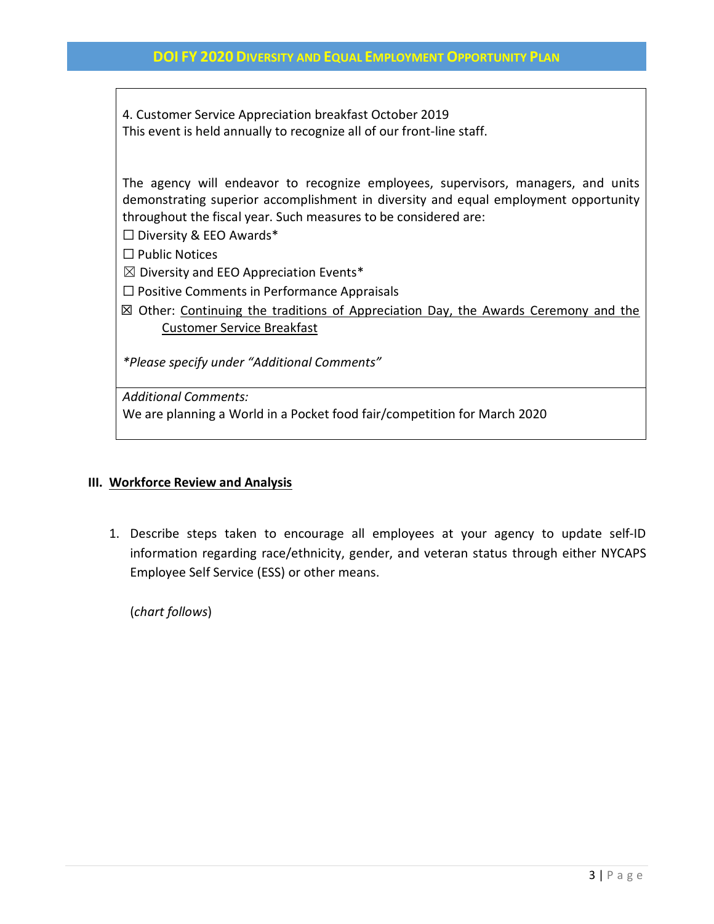4. Customer Service Appreciation breakfast October 2019 This event is held annually to recognize all of our front-line staff.

The agency will endeavor to recognize employees, supervisors, managers, and units demonstrating superior accomplishment in diversity and equal employment opportunity throughout the fiscal year. Such measures to be considered are:

 $\Box$  Diversity & EEO Awards\*

☐ Public Notices

 $\boxtimes$  Diversity and EEO Appreciation Events\*

☐ Positive Comments in Performance Appraisals

 ☒ Other: Continuing the traditions of Appreciation Day, the Awards Ceremony and the Customer Service Breakfast

*\*Please specify under "Additional Comments"*

*Additional Comments:*

We are planning a World in a Pocket food fair/competition for March 2020

#### **III. Workforce Review and Analysis**

1. Describe steps taken to encourage all employees at your agency to update self-ID information regarding race/ethnicity, gender, and veteran status through either NYCAPS Employee Self Service (ESS) or other means.

(*chart follows*)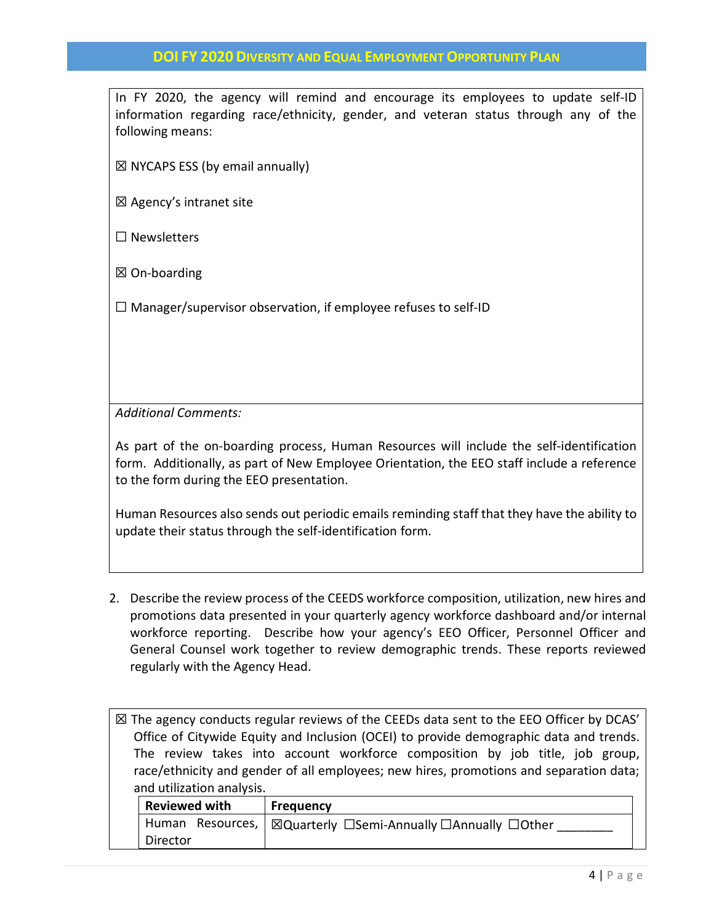In FY 2020, the agency will remind and encourage its employees to update self-ID information regarding race/ethnicity, gender, and veteran status through any of the following means:

 $\boxtimes$  NYCAPS ESS (by email annually)

☒ Agency's intranet site

☐ Newsletters

☒ On-boarding

 $\Box$  Manager/supervisor observation, if employee refuses to self-ID

*Additional Comments:*

As part of the on-boarding process, Human Resources will include the self-identification form. Additionally, as part of New Employee Orientation, the EEO staff include a reference to the form during the EEO presentation.

Human Resources also sends out periodic emails reminding staff that they have the ability to update their status through the self-identification form.

2. Describe the review process of the CEEDS workforce composition, utilization, new hires and promotions data presented in your quarterly agency workforce dashboard and/or internal workforce reporting. Describe how your agency's EEO Officer, Personnel Officer and General Counsel work together to review demographic trends. These reports reviewed regularly with the Agency Head.

 $\boxtimes$  The agency conducts regular reviews of the CEEDs data sent to the EEO Officer by DCAS' Office of Citywide Equity and Inclusion (OCEI) to provide demographic data and trends. The review takes into account workforce composition by job title, job group, race/ethnicity and gender of all employees; new hires, promotions and separation data; and utilization analysis.

| <b>Reviewed with</b> | Frequency                                                     |
|----------------------|---------------------------------------------------------------|
|                      | Human Resources,   ⊠Quarterly □Semi-Annually □Annually □Other |
| Director             |                                                               |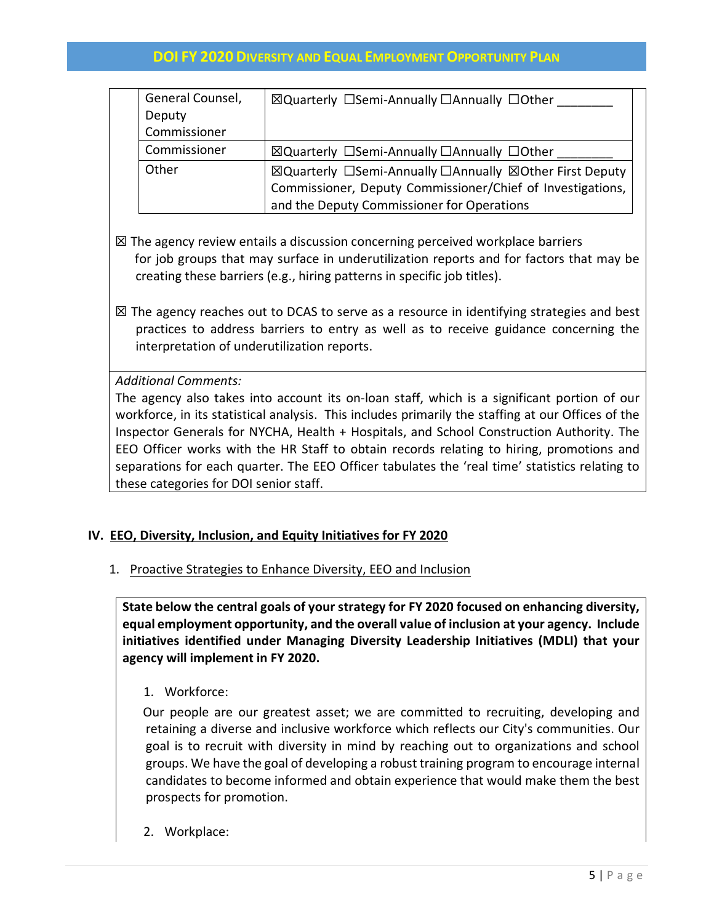| General Counsel, | ⊠Quarterly □Semi-Annually □Annually □Other                 |
|------------------|------------------------------------------------------------|
| Deputy           |                                                            |
| Commissioner     |                                                            |
| Commissioner     | ⊠Quarterly □Semi-Annually □Annually □Other                 |
| Other            | ⊠Quarterly □Semi-Annually □Annually ⊠Other First Deputy    |
|                  | Commissioner, Deputy Commissioner/Chief of Investigations, |
|                  | and the Deputy Commissioner for Operations                 |

- $\boxtimes$  The agency review entails a discussion concerning perceived workplace barriers for job groups that may surface in underutilization reports and for factors that may be creating these barriers (e.g., hiring patterns in specific job titles).
- $\boxtimes$  The agency reaches out to DCAS to serve as a resource in identifying strategies and best practices to address barriers to entry as well as to receive guidance concerning the interpretation of underutilization reports.

*Additional Comments:*

The agency also takes into account its on-loan staff, which is a significant portion of our workforce, in its statistical analysis. This includes primarily the staffing at our Offices of the Inspector Generals for NYCHA, Health + Hospitals, and School Construction Authority. The EEO Officer works with the HR Staff to obtain records relating to hiring, promotions and separations for each quarter. The EEO Officer tabulates the 'real time' statistics relating to these categories for DOI senior staff.

## **IV. EEO, Diversity, Inclusion, and Equity Initiatives for FY 2020**

1. Proactive Strategies to Enhance Diversity, EEO and Inclusion

**State below the central goals of your strategy for FY 2020 focused on enhancing diversity, equal employment opportunity, and the overall value of inclusion at your agency. Include initiatives identified under Managing Diversity Leadership Initiatives (MDLI) that your agency will implement in FY 2020.**

1. Workforce:

Our people are our greatest asset; we are committed to recruiting, developing and retaining a diverse and inclusive workforce which reflects our City's communities. Our goal is to recruit with diversity in mind by reaching out to organizations and school groups. We have the goal of developing a robust training program to encourage internal candidates to become informed and obtain experience that would make them the best prospects for promotion.

2. Workplace: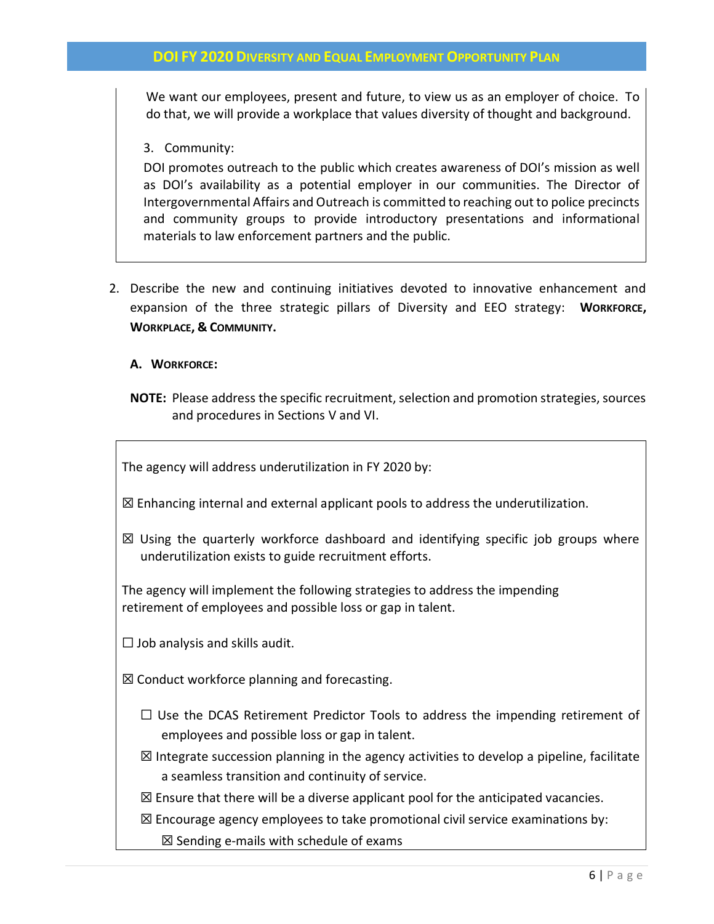We want our employees, present and future, to view us as an employer of choice. To do that, we will provide a workplace that values diversity of thought and background.

#### 3. Community:

DOI promotes outreach to the public which creates awareness of DOI's mission as well as DOI's availability as a potential employer in our communities. The Director of Intergovernmental Affairs and Outreach is committed to reaching out to police precincts and community groups to provide introductory presentations and informational materials to law enforcement partners and the public.

2. Describe the new and continuing initiatives devoted to innovative enhancement and expansion of the three strategic pillars of Diversity and EEO strategy: **WORKFORCE, WORKPLACE, & COMMUNITY.**

#### **A. WORKFORCE:**

**NOTE:** Please address the specific recruitment, selection and promotion strategies, sources and procedures in Sections V and VI.

The agency will address underutilization in FY 2020 by:

 $\boxtimes$  Enhancing internal and external applicant pools to address the underutilization.

 $\boxtimes$  Using the quarterly workforce dashboard and identifying specific job groups where underutilization exists to guide recruitment efforts.

The agency will implement the following strategies to address the impending retirement of employees and possible loss or gap in talent.

 $\Box$  Job analysis and skills audit.

 $\boxtimes$  Conduct workforce planning and forecasting.

- $\Box$  Use the DCAS Retirement Predictor Tools to address the impending retirement of employees and possible loss or gap in talent.
- $\boxtimes$  Integrate succession planning in the agency activities to develop a pipeline, facilitate a seamless transition and continuity of service.

 $\boxtimes$  Ensure that there will be a diverse applicant pool for the anticipated vacancies.

 $\boxtimes$  Encourage agency employees to take promotional civil service examinations by:  $\boxtimes$  Sending e-mails with schedule of exams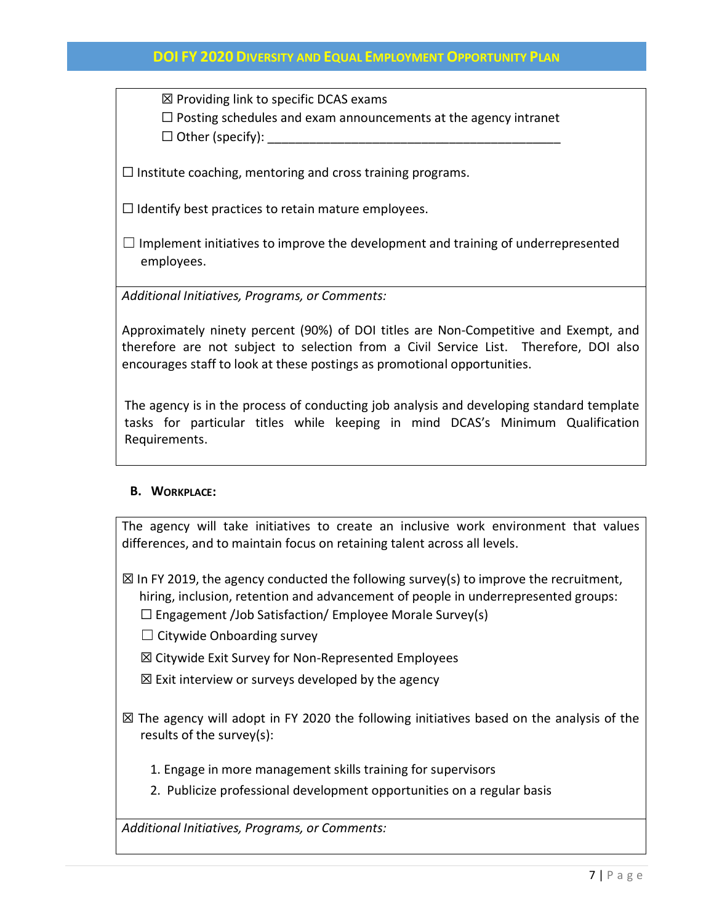$\boxtimes$  Providing link to specific DCAS exams

 $\Box$  Posting schedules and exam announcements at the agency intranet

 $\Box$  Other (specify):

 $\Box$  Institute coaching, mentoring and cross training programs.

 $\Box$  Identify best practices to retain mature employees.

 $\Box$  Implement initiatives to improve the development and training of underrepresented employees.

*Additional Initiatives, Programs, or Comments:*

Approximately ninety percent (90%) of DOI titles are Non-Competitive and Exempt, and therefore are not subject to selection from a Civil Service List. Therefore, DOI also encourages staff to look at these postings as promotional opportunities.

The agency is in the process of conducting job analysis and developing standard template tasks for particular titles while keeping in mind DCAS's Minimum Qualification Requirements.

## **B. WORKPLACE:**

The agency will take initiatives to create an inclusive work environment that values differences, and to maintain focus on retaining talent across all levels.

 $\boxtimes$  In FY 2019, the agency conducted the following survey(s) to improve the recruitment, hiring, inclusion, retention and advancement of people in underrepresented groups:

☐ Engagement /Job Satisfaction/ Employee Morale Survey(s)

 $\Box$  Citywide Onboarding survey

☒ Citywide Exit Survey for Non-Represented Employees

 $\boxtimes$  Exit interview or surveys developed by the agency

☒ The agency will adopt in FY 2020 the following initiatives based on the analysis of the results of the survey(s):

1. Engage in more management skills training for supervisors

2. Publicize professional development opportunities on a regular basis

*Additional Initiatives, Programs, or Comments:*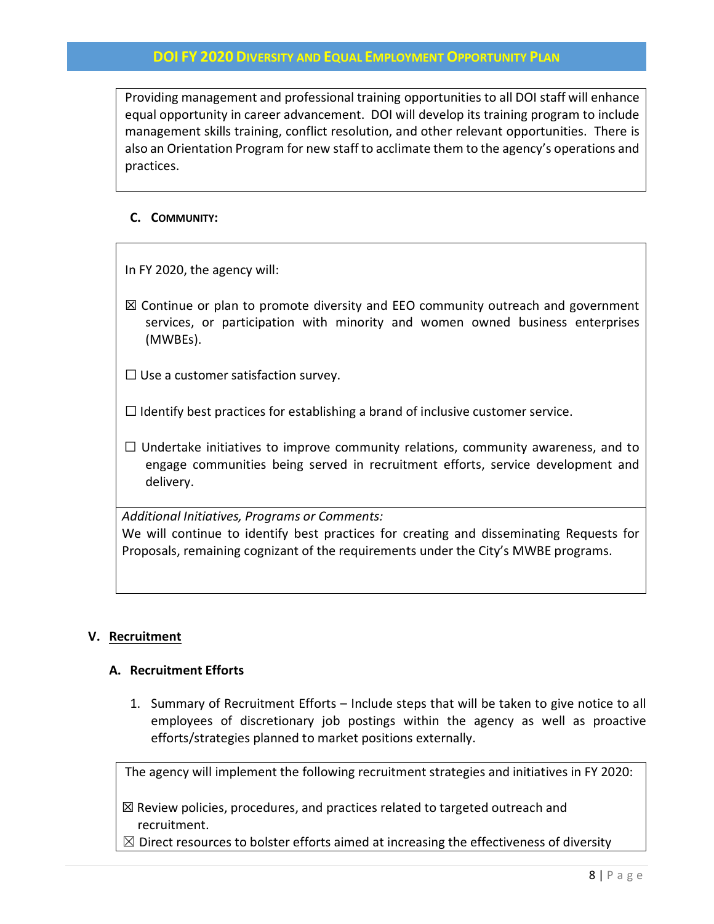Providing management and professional training opportunities to all DOI staff will enhance equal opportunity in career advancement. DOI will develop its training program to include management skills training, conflict resolution, and other relevant opportunities. There is also an Orientation Program for new staff to acclimate them to the agency's operations and practices.

## **C. COMMUNITY:**

In FY 2020, the agency will:

 $\boxtimes$  Continue or plan to promote diversity and EEO community outreach and government services, or participation with minority and women owned business enterprises (MWBEs).

 $\Box$  Use a customer satisfaction survey.

 $\Box$  Identify best practices for establishing a brand of inclusive customer service.

 $\Box$  Undertake initiatives to improve community relations, community awareness, and to engage communities being served in recruitment efforts, service development and delivery.

*Additional Initiatives, Programs or Comments:*

We will continue to identify best practices for creating and disseminating Requests for Proposals, remaining cognizant of the requirements under the City's MWBE programs.

## **V. Recruitment**

#### **A. Recruitment Efforts**

1. Summary of Recruitment Efforts – Include steps that will be taken to give notice to all employees of discretionary job postings within the agency as well as proactive efforts/strategies planned to market positions externally.

The agency will implement the following recruitment strategies and initiatives in FY 2020:

☒ Review policies, procedures, and practices related to targeted outreach and recruitment.

 $\boxtimes$  Direct resources to bolster efforts aimed at increasing the effectiveness of diversity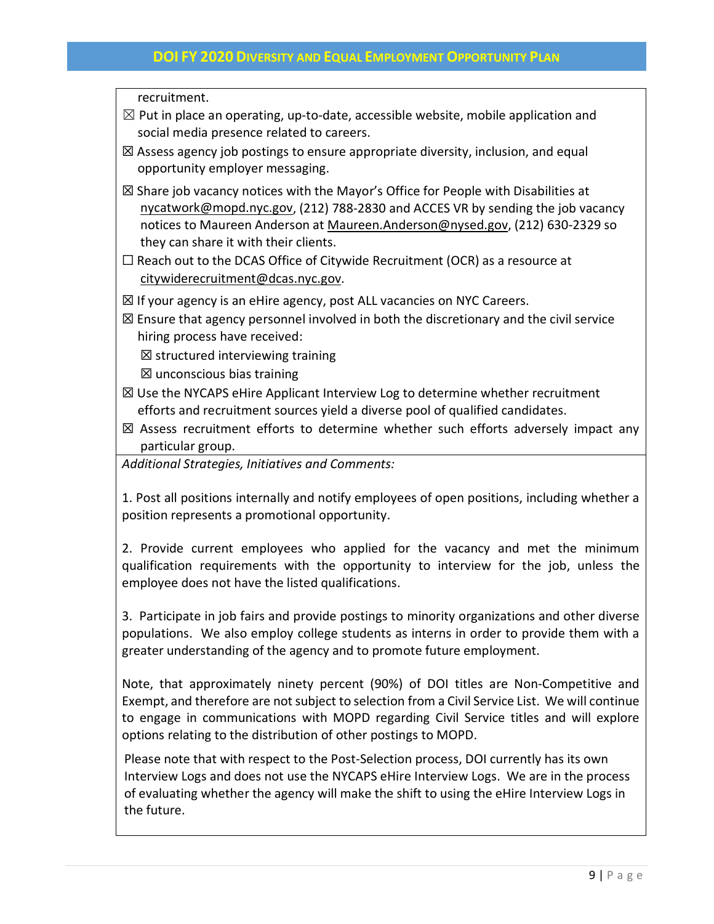recruitment.

- $\boxtimes$  Put in place an operating, up-to-date, accessible website, mobile application and social media presence related to careers.
- $\boxtimes$  Assess agency job postings to ensure appropriate diversity, inclusion, and equal opportunity employer messaging.
- $\boxtimes$  Share job vacancy notices with the Mayor's Office for People with Disabilities at [nycatwork@mopd.nyc.gov,](mailto:nycatwork@mopd.nyc.gov) (212) 788-2830 and ACCES VR by sending the job vacancy notices to Maureen Anderson at [Maureen.Anderson@nysed.gov,](mailto:Maureen.Anderson@nysed.gov) (212) 630-2329 so they can share it with their clients.
- ☐ Reach out to the DCAS Office of Citywide Recruitment (OCR) as a resource at [citywiderecruitment@dcas.nyc.gov.](mailto:citywiderecruitment@dcas.nyc.gov)
- $\boxtimes$  If your agency is an eHire agency, post ALL vacancies on NYC Careers.
- $\boxtimes$  Ensure that agency personnel involved in both the discretionary and the civil service hiring process have received:
	- $\boxtimes$  structured interviewing training
	- $\boxtimes$  unconscious bias training
- $\boxtimes$  Use the NYCAPS eHire Applicant Interview Log to determine whether recruitment efforts and recruitment sources yield a diverse pool of qualified candidates.
- $\boxtimes$  Assess recruitment efforts to determine whether such efforts adversely impact any particular group.

*Additional Strategies, Initiatives and Comments:*

1. Post all positions internally and notify employees of open positions, including whether a position represents a promotional opportunity.

2. Provide current employees who applied for the vacancy and met the minimum qualification requirements with the opportunity to interview for the job, unless the employee does not have the listed qualifications.

3. Participate in job fairs and provide postings to minority organizations and other diverse populations. We also employ college students as interns in order to provide them with a greater understanding of the agency and to promote future employment.

Note, that approximately ninety percent (90%) of DOI titles are Non-Competitive and Exempt, and therefore are not subject to selection from a Civil Service List. We will continue to engage in communications with MOPD regarding Civil Service titles and will explore options relating to the distribution of other postings to MOPD.

Please note that with respect to the Post-Selection process, DOI currently has its own Interview Logs and does not use the NYCAPS eHire Interview Logs. We are in the process of evaluating whether the agency will make the shift to using the eHire Interview Logs in the future.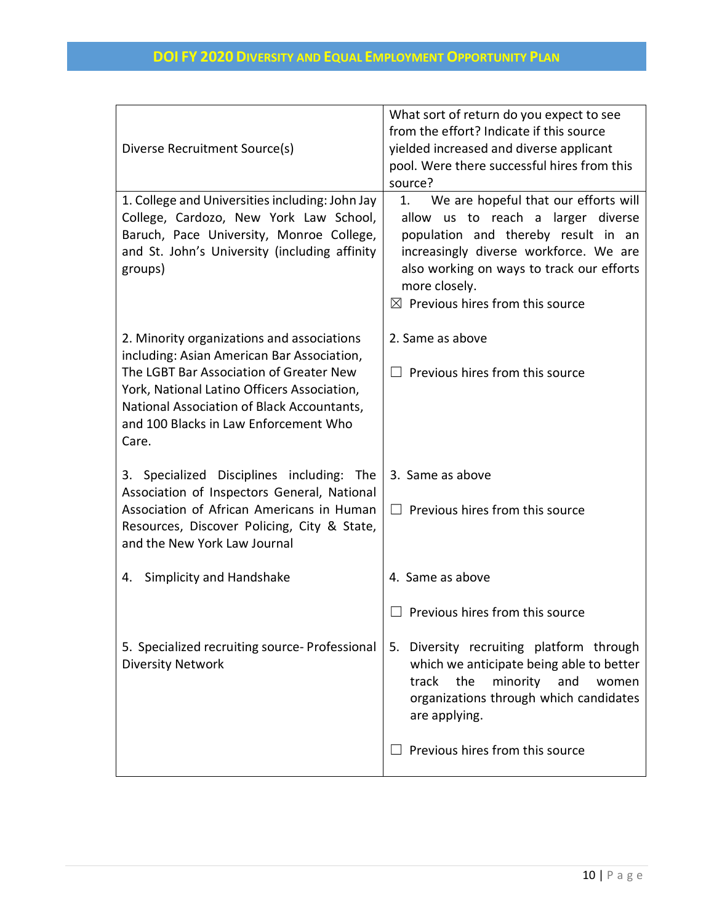|                                                                                           | What sort of return do you expect to see<br>from the effort? Indicate if this source |  |  |
|-------------------------------------------------------------------------------------------|--------------------------------------------------------------------------------------|--|--|
| Diverse Recruitment Source(s)                                                             | yielded increased and diverse applicant                                              |  |  |
|                                                                                           | pool. Were there successful hires from this                                          |  |  |
|                                                                                           | source?                                                                              |  |  |
| 1. College and Universities including: John Jay                                           | We are hopeful that our efforts will<br>1.                                           |  |  |
| College, Cardozo, New York Law School,                                                    | allow us to reach a larger diverse                                                   |  |  |
| Baruch, Pace University, Monroe College,                                                  | population and thereby result in an                                                  |  |  |
| and St. John's University (including affinity<br>groups)                                  | increasingly diverse workforce. We are<br>also working on ways to track our efforts  |  |  |
|                                                                                           | more closely.                                                                        |  |  |
|                                                                                           | $\boxtimes$ Previous hires from this source                                          |  |  |
|                                                                                           |                                                                                      |  |  |
| 2. Minority organizations and associations                                                | 2. Same as above                                                                     |  |  |
| including: Asian American Bar Association,                                                |                                                                                      |  |  |
| The LGBT Bar Association of Greater New                                                   | Previous hires from this source                                                      |  |  |
| York, National Latino Officers Association,<br>National Association of Black Accountants, |                                                                                      |  |  |
| and 100 Blacks in Law Enforcement Who                                                     |                                                                                      |  |  |
| Care.                                                                                     |                                                                                      |  |  |
|                                                                                           |                                                                                      |  |  |
| 3. Specialized Disciplines including: The                                                 | 3. Same as above                                                                     |  |  |
| Association of Inspectors General, National<br>Association of African Americans in Human  |                                                                                      |  |  |
| Resources, Discover Policing, City & State,                                               | $\Box$ Previous hires from this source                                               |  |  |
| and the New York Law Journal                                                              |                                                                                      |  |  |
|                                                                                           |                                                                                      |  |  |
| Simplicity and Handshake<br>4.                                                            | 4. Same as above                                                                     |  |  |
|                                                                                           | Previous hires from this source                                                      |  |  |
|                                                                                           |                                                                                      |  |  |
| 5. Specialized recruiting source- Professional                                            | 5. Diversity recruiting platform through                                             |  |  |
| <b>Diversity Network</b>                                                                  | which we anticipate being able to better                                             |  |  |
|                                                                                           | the<br>track<br>minority and<br>women                                                |  |  |
|                                                                                           | organizations through which candidates<br>are applying.                              |  |  |
|                                                                                           |                                                                                      |  |  |
|                                                                                           | Previous hires from this source                                                      |  |  |
|                                                                                           |                                                                                      |  |  |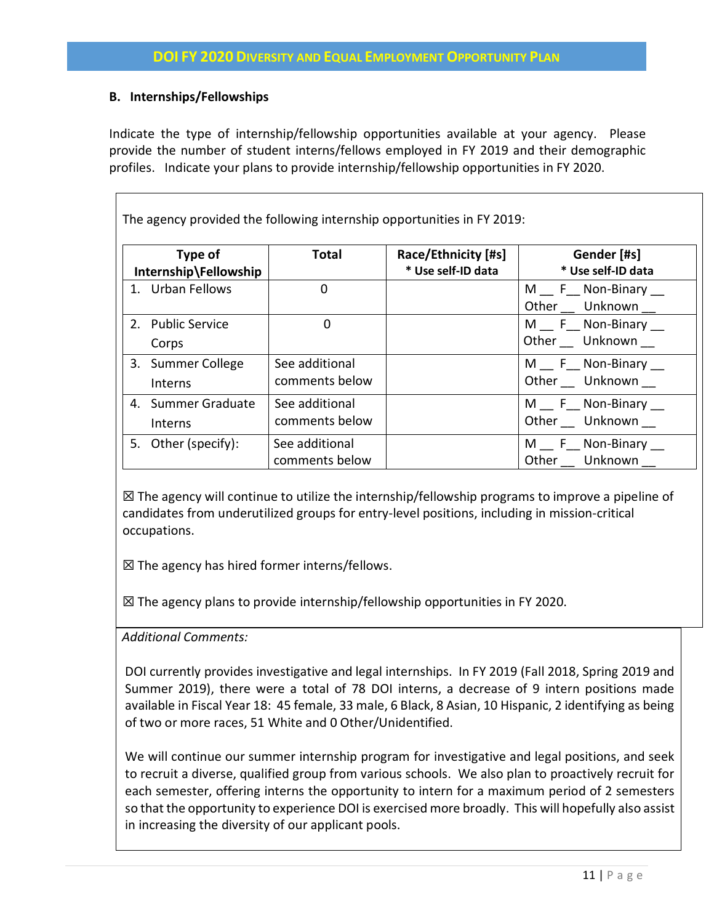## **B. Internships/Fellowships**

Indicate the type of internship/fellowship opportunities available at your agency. Please provide the number of student interns/fellows employed in FY 2019 and their demographic profiles. Indicate your plans to provide internship/fellowship opportunities in FY 2020.

The agency provided the following internship opportunities in FY 2019:

| Type of<br>Internship\Fellowship |                               | <b>Total</b>                     | Race/Ethnicity [#s]<br>* Use self-ID data | Gender [#s]<br>* Use self-ID data  |
|----------------------------------|-------------------------------|----------------------------------|-------------------------------------------|------------------------------------|
|                                  | 1. Urban Fellows              | 0                                |                                           | M F Non-Binary<br>Other Unknown __ |
|                                  | 2. Public Service<br>Corps    | 0                                |                                           | M F Non-Binary<br>Other Unknown    |
|                                  | 3. Summer College<br>Interns  | See additional<br>comments below |                                           | M F Non-Binary<br>Other Unknown    |
|                                  | 4. Summer Graduate<br>Interns | See additional<br>comments below |                                           | M F Non-Binary __<br>Other Unknown |
|                                  | 5. Other (specify):           | See additional<br>comments below |                                           | M F Non-Binary __<br>Other Unknown |

 $\boxtimes$  The agency will continue to utilize the internship/fellowship programs to improve a pipeline of candidates from underutilized groups for entry-level positions, including in mission-critical occupations.

 $\boxtimes$  The agency has hired former interns/fellows.

 $\boxtimes$  The agency plans to provide internship/fellowship opportunities in FY 2020.

*Additional Comments:*

DOI currently provides investigative and legal internships. In FY 2019 (Fall 2018, Spring 2019 and Summer 2019), there were a total of 78 DOI interns, a decrease of 9 intern positions made available in Fiscal Year 18: 45 female, 33 male, 6 Black, 8 Asian, 10 Hispanic, 2 identifying as being of two or more races, 51 White and 0 Other/Unidentified.

We will continue our summer internship program for investigative and legal positions, and seek to recruit a diverse, qualified group from various schools. We also plan to proactively recruit for each semester, offering interns the opportunity to intern for a maximum period of 2 semesters so that the opportunity to experience DOI is exercised more broadly. This will hopefully also assist in increasing the diversity of our applicant pools.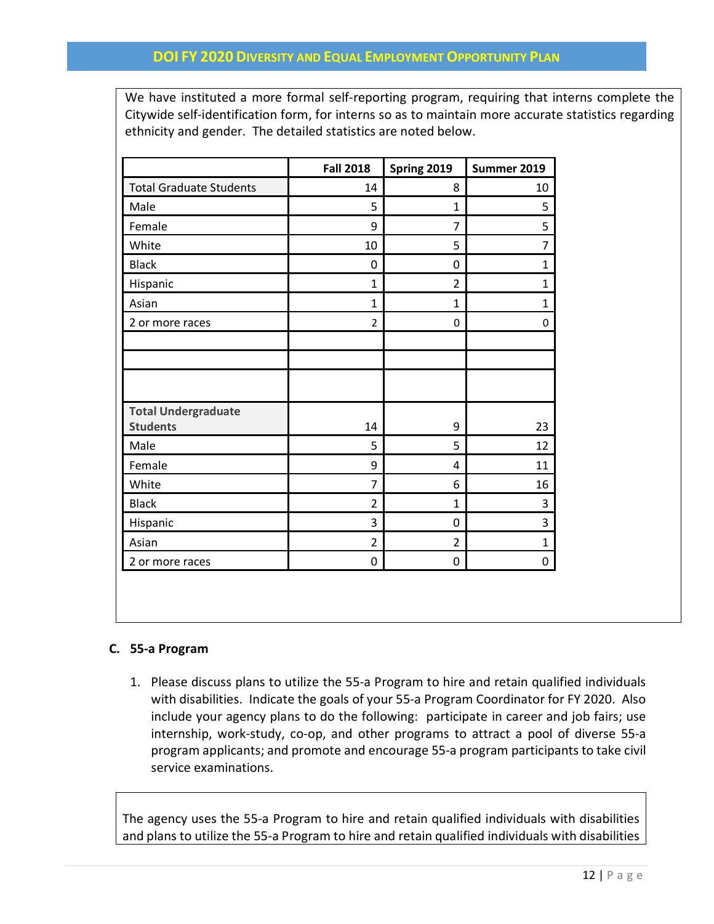We have instituted a more formal self-reporting program, requiring that interns complete the Citywide self-identification form, for interns so as to maintain more accurate statistics regarding ethnicity and gender. The detailed statistics are noted below.

|                                | <b>Fall 2018</b> | Spring 2019    | Summer 2019    |
|--------------------------------|------------------|----------------|----------------|
| <b>Total Graduate Students</b> | 14               | 8              | 10             |
| Male                           | 5                | $\mathbf{1}$   | 5              |
| Female                         | 9                | 7              | 5              |
| White                          | 10               | 5              | $\overline{7}$ |
| <b>Black</b>                   | 0                | 0              | 1              |
| Hispanic                       | 1                | $\overline{2}$ | 1              |
| Asian                          | $\mathbf{1}$     | $\mathbf{1}$   | $\mathbf{1}$   |
| 2 or more races                | $\overline{2}$   | 0              | 0              |
|                                |                  |                |                |
|                                |                  |                |                |
|                                |                  |                |                |
| <b>Total Undergraduate</b>     |                  |                |                |
| <b>Students</b>                | 14               | 9              | 23             |
| Male                           | 5                | 5              | 12             |
| Female                         | 9                | 4              | 11             |
| White                          | 7                | 6              | 16             |
| <b>Black</b>                   | $\overline{2}$   | $\mathbf{1}$   | 3              |
| Hispanic                       | 3                | 0              | 3              |
| Asian                          | $\overline{2}$   | $\overline{2}$ | $\mathbf 1$    |
| 2 or more races                | 0                | 0              | 0              |

## **C. 55-a Program**

1. Please discuss plans to utilize the 55-a Program to hire and retain qualified individuals with disabilities. Indicate the goals of your 55-a Program Coordinator for FY 2020. Also include your agency plans to do the following: participate in career and job fairs; use internship, work-study, co-op, and other programs to attract a pool of diverse 55-a program applicants; and promote and encourage 55-a program participants to take civil service examinations.

The agency uses the 55-a Program to hire and retain qualified individuals with disabilities and plans to utilize the 55-a Program to hire and retain qualified individuals with disabilities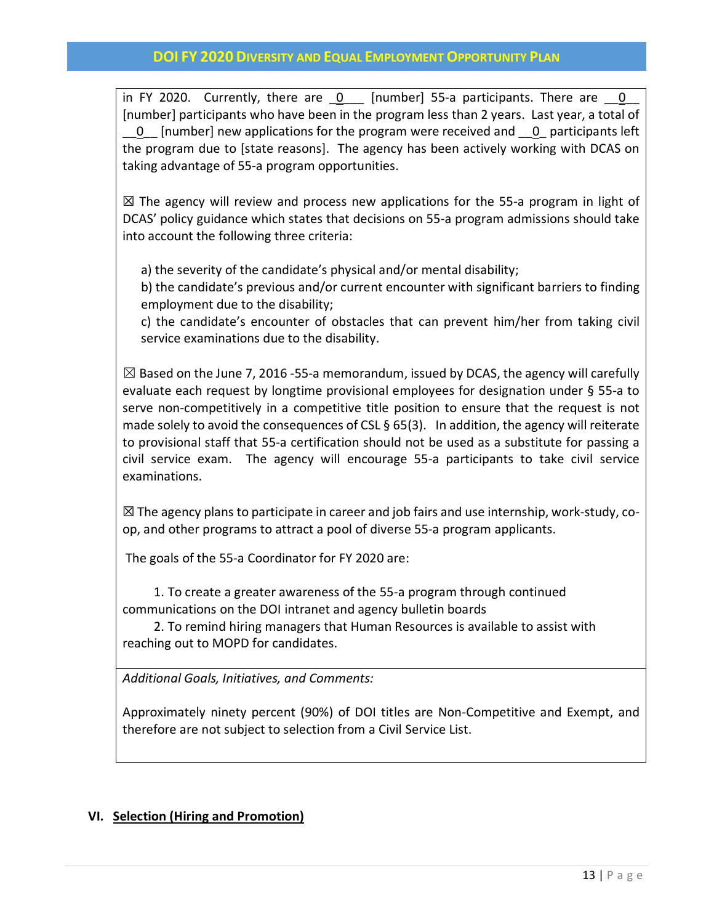in FY 2020. Currently, there are  $0$  [number] 55-a participants. There are  $0$ [number] participants who have been in the program less than 2 years. Last year, a total of \_\_0\_\_ [number] new applications for the program were received and \_\_0\_ participants left the program due to [state reasons]. The agency has been actively working with DCAS on taking advantage of 55-a program opportunities.

 $\boxtimes$  The agency will review and process new applications for the 55-a program in light of DCAS' policy guidance which states that decisions on 55-a program admissions should take into account the following three criteria:

a) the severity of the candidate's physical and/or mental disability;

b) the candidate's previous and/or current encounter with significant barriers to finding employment due to the disability;

c) the candidate's encounter of obstacles that can prevent him/her from taking civil service examinations due to the disability.

 $\boxtimes$  Based on the June 7, 2016 -55-a memorandum, issued by DCAS, the agency will carefully evaluate each request by longtime provisional employees for designation under § 55-a to serve non-competitively in a competitive title position to ensure that the request is not made solely to avoid the consequences of CSL § 65(3). In addition, the agency will reiterate to provisional staff that 55-a certification should not be used as a substitute for passing a civil service exam. The agency will encourage 55-a participants to take civil service examinations.

 $\boxtimes$  The agency plans to participate in career and job fairs and use internship, work-study, coop, and other programs to attract a pool of diverse 55-a program applicants.

The goals of the 55-a Coordinator for FY 2020 are:

 1. To create a greater awareness of the 55-a program through continued communications on the DOI intranet and agency bulletin boards

 2. To remind hiring managers that Human Resources is available to assist with reaching out to MOPD for candidates.

*Additional Goals, Initiatives, and Comments:*

Approximately ninety percent (90%) of DOI titles are Non-Competitive and Exempt, and therefore are not subject to selection from a Civil Service List.

## **VI. Selection (Hiring and Promotion)**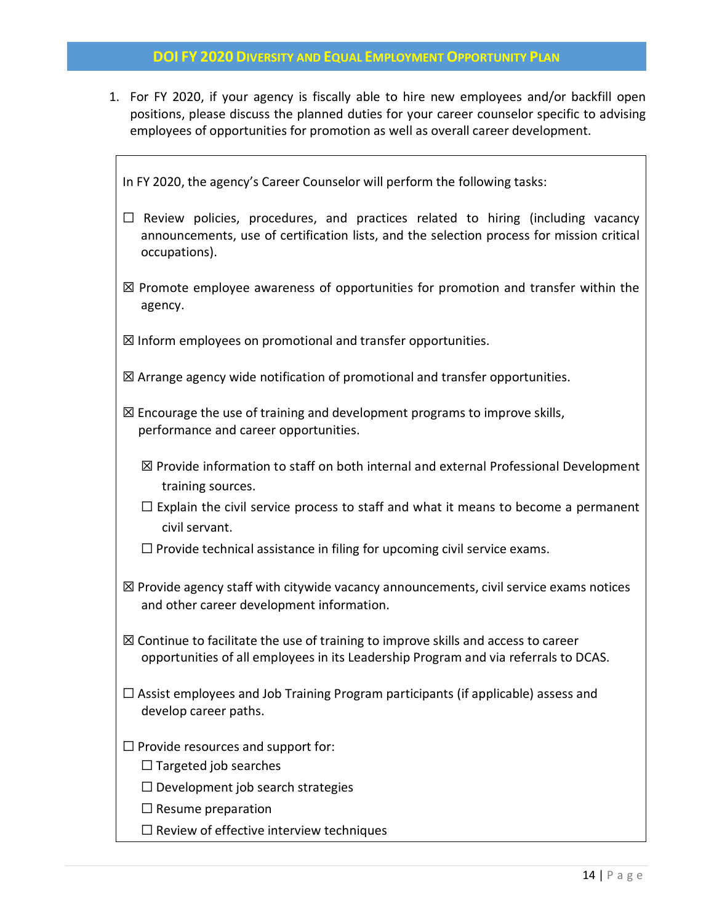1. For FY 2020, if your agency is fiscally able to hire new employees and/or backfill open positions, please discuss the planned duties for your career counselor specific to advising employees of opportunities for promotion as well as overall career development.

In FY 2020, the agency's Career Counselor will perform the following tasks:

- $\Box$  Review policies, procedures, and practices related to hiring (including vacancy announcements, use of certification lists, and the selection process for mission critical occupations).
- $\boxtimes$  Promote employee awareness of opportunities for promotion and transfer within the agency.

 $\boxtimes$  Inform employees on promotional and transfer opportunities.

- $\boxtimes$  Arrange agency wide notification of promotional and transfer opportunities.
- $\boxtimes$  Encourage the use of training and development programs to improve skills, performance and career opportunities.
	- $\boxtimes$  Provide information to staff on both internal and external Professional Development training sources.
	- $\Box$  Explain the civil service process to staff and what it means to become a permanent civil servant.
	- $\Box$  Provide technical assistance in filing for upcoming civil service exams.
- $\boxtimes$  Provide agency staff with citywide vacancy announcements, civil service exams notices and other career development information.
- $\boxtimes$  Continue to facilitate the use of training to improve skills and access to career opportunities of all employees in its Leadership Program and via referrals to DCAS.
- $\Box$  Assist employees and Job Training Program participants (if applicable) assess and develop career paths.
- $\Box$  Provide resources and support for:
	- $\Box$  Targeted job searches
	- $\Box$  Development job search strategies
	- $\Box$  Resume preparation
	- $\Box$  Review of effective interview techniques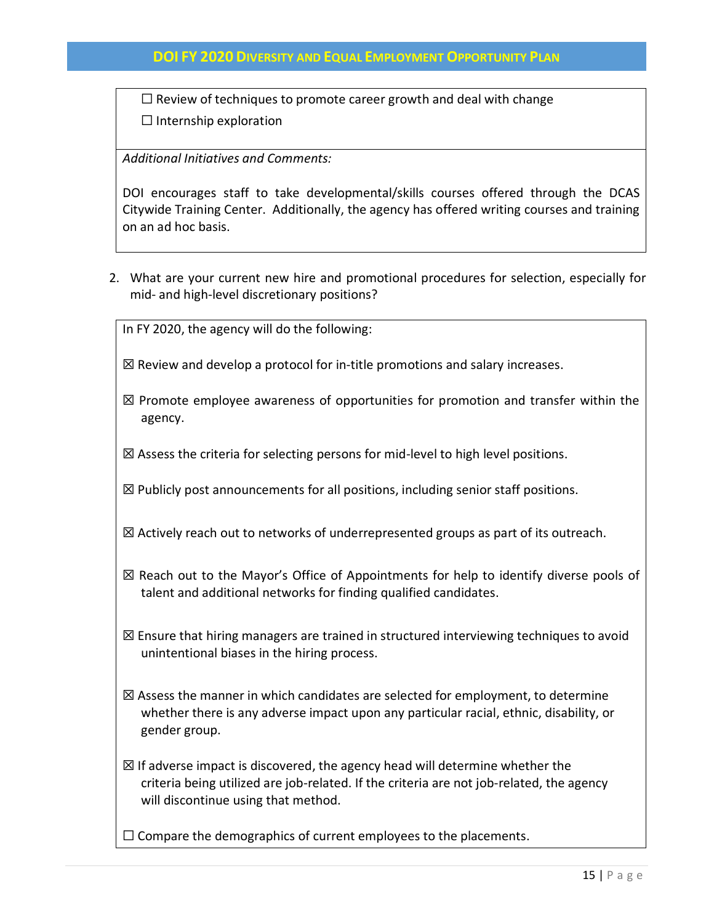$\Box$  Review of techniques to promote career growth and deal with change  $\Box$  Internship exploration

*Additional Initiatives and Comments:*

DOI encourages staff to take developmental/skills courses offered through the DCAS Citywide Training Center. Additionally, the agency has offered writing courses and training on an ad hoc basis.

- 2. What are your current new hire and promotional procedures for selection, especially for mid- and high-level discretionary positions?
	- In FY 2020, the agency will do the following:
	- $\boxtimes$  Review and develop a protocol for in-title promotions and salary increases.
	- $\boxtimes$  Promote employee awareness of opportunities for promotion and transfer within the agency.
	- $\boxtimes$  Assess the criteria for selecting persons for mid-level to high level positions.
	- $\boxtimes$  Publicly post announcements for all positions, including senior staff positions.
	- ☒ Actively reach out to networks of underrepresented groups as part of its outreach.
	- $\boxtimes$  Reach out to the Mayor's Office of Appointments for help to identify diverse pools of talent and additional networks for finding qualified candidates.
	- $\boxtimes$  Ensure that hiring managers are trained in structured interviewing techniques to avoid unintentional biases in the hiring process.
	- $\boxtimes$  Assess the manner in which candidates are selected for employment, to determine whether there is any adverse impact upon any particular racial, ethnic, disability, or gender group.
	- $\boxtimes$  If adverse impact is discovered, the agency head will determine whether the criteria being utilized are job-related. If the criteria are not job-related, the agency will discontinue using that method.
	- ☐ Compare the demographics of current employees to the placements.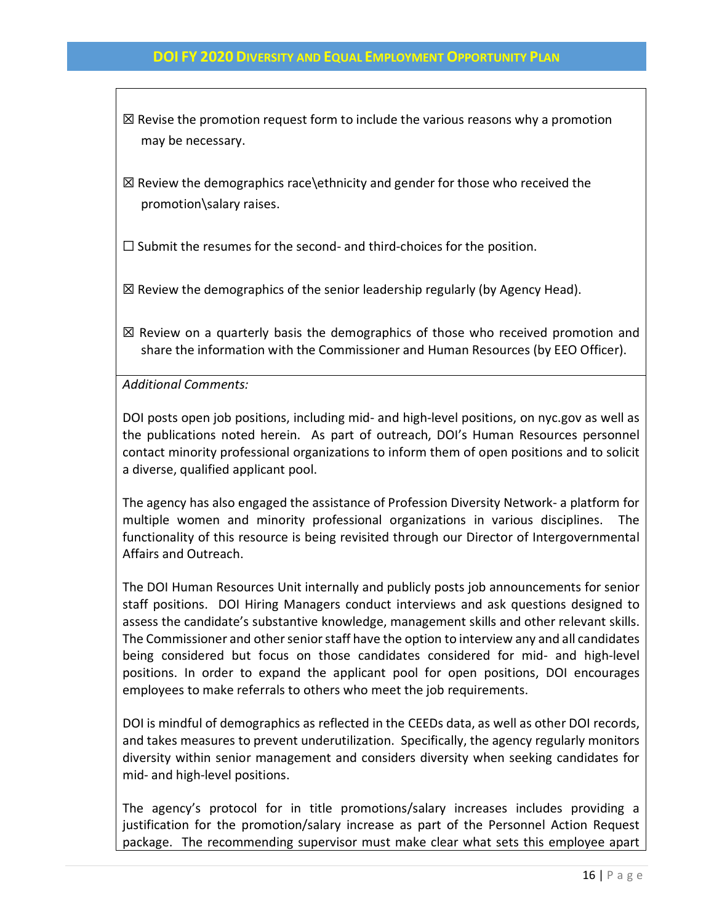$\boxtimes$  Revise the promotion request form to include the various reasons why a promotion may be necessary.

 $\boxtimes$  Review the demographics race\ethnicity and gender for those who received the promotion\salary raises.

 $\Box$  Submit the resumes for the second- and third-choices for the position.

 $\boxtimes$  Review the demographics of the senior leadership regularly (by Agency Head).

 $\boxtimes$  Review on a quarterly basis the demographics of those who received promotion and share the information with the Commissioner and Human Resources (by EEO Officer).

*Additional Comments:*

DOI posts open job positions, including mid- and high-level positions, on nyc.gov as well as the publications noted herein. As part of outreach, DOI's Human Resources personnel contact minority professional organizations to inform them of open positions and to solicit a diverse, qualified applicant pool.

The agency has also engaged the assistance of Profession Diversity Network- a platform for multiple women and minority professional organizations in various disciplines. The functionality of this resource is being revisited through our Director of Intergovernmental Affairs and Outreach.

The DOI Human Resources Unit internally and publicly posts job announcements for senior staff positions. DOI Hiring Managers conduct interviews and ask questions designed to assess the candidate's substantive knowledge, management skills and other relevant skills. The Commissioner and other senior staff have the option to interview any and all candidates being considered but focus on those candidates considered for mid- and high-level positions. In order to expand the applicant pool for open positions, DOI encourages employees to make referrals to others who meet the job requirements.

DOI is mindful of demographics as reflected in the CEEDs data, as well as other DOI records, and takes measures to prevent underutilization. Specifically, the agency regularly monitors diversity within senior management and considers diversity when seeking candidates for mid- and high-level positions.

The agency's protocol for in title promotions/salary increases includes providing a justification for the promotion/salary increase as part of the Personnel Action Request package. The recommending supervisor must make clear what sets this employee apart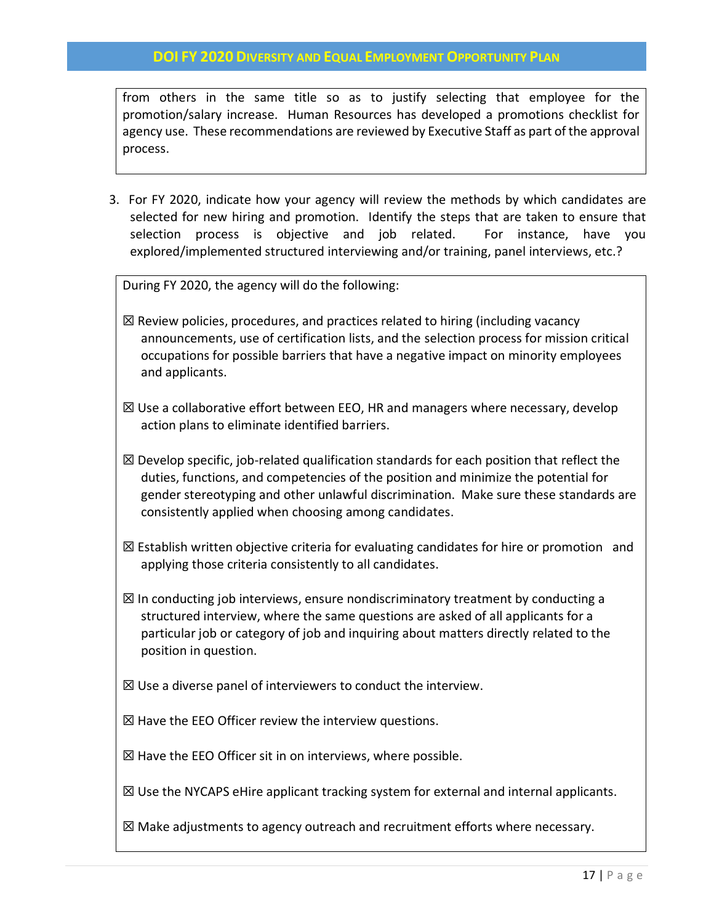from others in the same title so as to justify selecting that employee for the promotion/salary increase. Human Resources has developed a promotions checklist for agency use. These recommendations are reviewed by Executive Staff as part of the approval process.

3. For FY 2020, indicate how your agency will review the methods by which candidates are selected for new hiring and promotion. Identify the steps that are taken to ensure that selection process is objective and job related. For instance, have you explored/implemented structured interviewing and/or training, panel interviews, etc.?

During FY 2020, the agency will do the following:

- $\boxtimes$  Review policies, procedures, and practices related to hiring (including vacancy announcements, use of certification lists, and the selection process for mission critical occupations for possible barriers that have a negative impact on minority employees and applicants.
- $\boxtimes$  Use a collaborative effort between EEO, HR and managers where necessary, develop action plans to eliminate identified barriers.
- $\boxtimes$  Develop specific, job-related qualification standards for each position that reflect the duties, functions, and competencies of the position and minimize the potential for gender stereotyping and other unlawful discrimination. Make sure these standards are consistently applied when choosing among candidates.
- $\boxtimes$  Establish written objective criteria for evaluating candidates for hire or promotion and applying those criteria consistently to all candidates.
- $\boxtimes$  In conducting job interviews, ensure nondiscriminatory treatment by conducting a structured interview, where the same questions are asked of all applicants for a particular job or category of job and inquiring about matters directly related to the position in question.
- $\boxtimes$  Use a diverse panel of interviewers to conduct the interview.
- $\boxtimes$  Have the EEO Officer review the interview questions.
- $\boxtimes$  Have the EEO Officer sit in on interviews, where possible.

 $\boxtimes$  Use the NYCAPS eHire applicant tracking system for external and internal applicants.

☒ Make adjustments to agency outreach and recruitment efforts where necessary.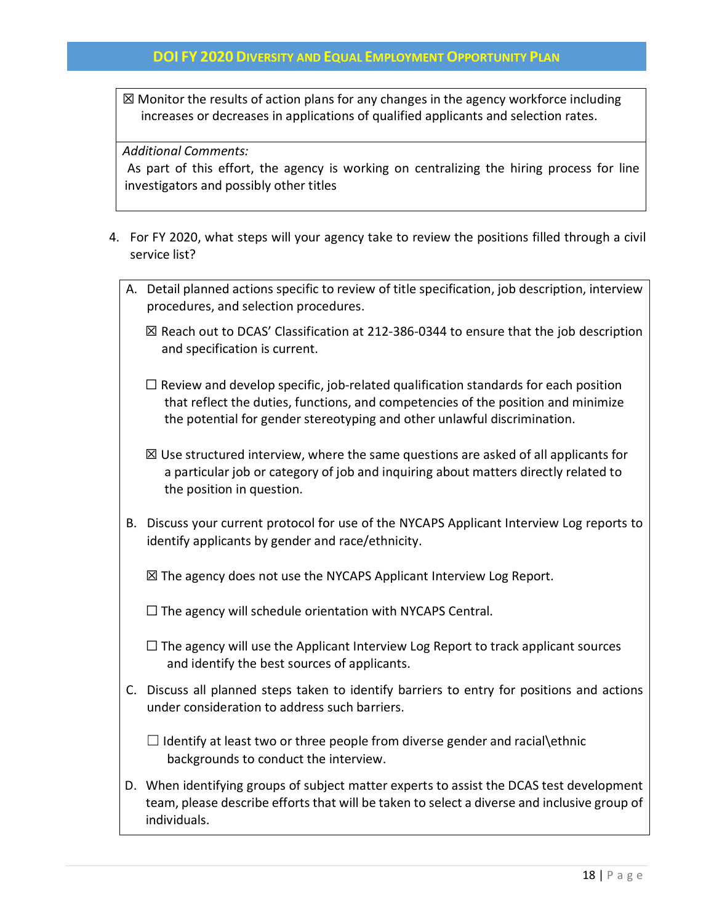☒ Monitor the results of action plans for any changes in the agency workforce including increases or decreases in applications of qualified applicants and selection rates.

*Additional Comments:* 

As part of this effort, the agency is working on centralizing the hiring process for line investigators and possibly other titles

- 4. For FY 2020, what steps will your agency take to review the positions filled through a civil service list?
	- A. Detail planned actions specific to review of title specification, job description, interview procedures, and selection procedures.
		- $\boxtimes$  Reach out to DCAS' Classification at 212-386-0344 to ensure that the job description and specification is current.
		- $\Box$  Review and develop specific, job-related qualification standards for each position that reflect the duties, functions, and competencies of the position and minimize the potential for gender stereotyping and other unlawful discrimination.
		- $\boxtimes$  Use structured interview, where the same questions are asked of all applicants for a particular job or category of job and inquiring about matters directly related to the position in question.
	- B. Discuss your current protocol for use of the NYCAPS Applicant Interview Log reports to identify applicants by gender and race/ethnicity.
		- ☒ The agency does not use the NYCAPS Applicant Interview Log Report.

 $\Box$  The agency will schedule orientation with NYCAPS Central.

- $\Box$  The agency will use the Applicant Interview Log Report to track applicant sources and identify the best sources of applicants.
- C. Discuss all planned steps taken to identify barriers to entry for positions and actions under consideration to address such barriers.
	- $\Box$  Identify at least two or three people from diverse gender and racial $\setminus$ ethnic backgrounds to conduct the interview.
- D. When identifying groups of subject matter experts to assist the DCAS test development team, please describe efforts that will be taken to select a diverse and inclusive group of individuals.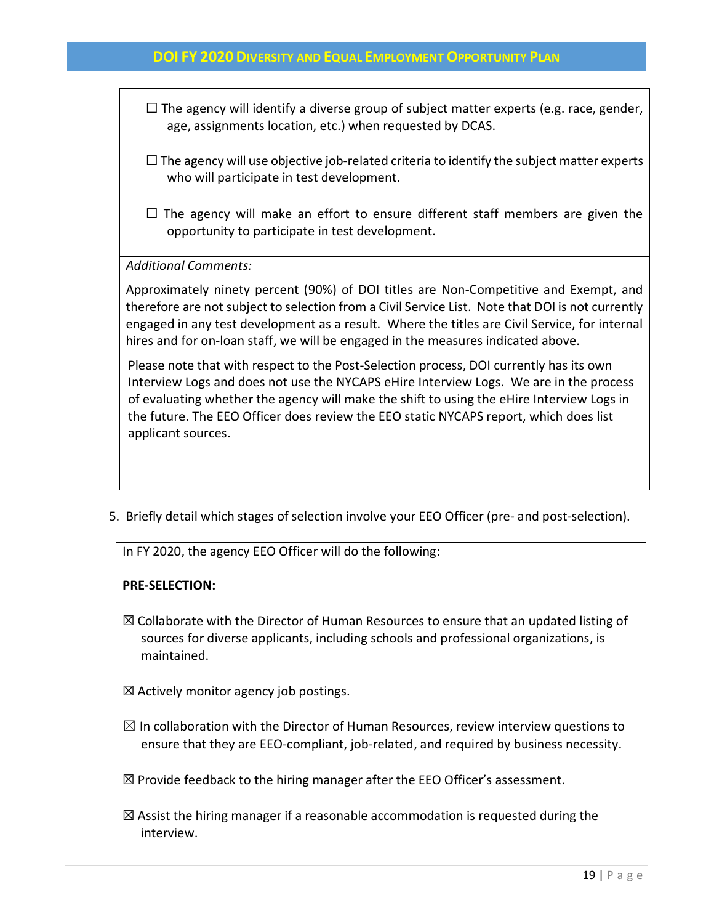- $\Box$  The agency will identify a diverse group of subject matter experts (e.g. race, gender, age, assignments location, etc.) when requested by DCAS.
- $\Box$  The agency will use objective job-related criteria to identify the subject matter experts who will participate in test development.
- $\Box$  The agency will make an effort to ensure different staff members are given the opportunity to participate in test development.

*Additional Comments:* 

Approximately ninety percent (90%) of DOI titles are Non-Competitive and Exempt, and therefore are not subject to selection from a Civil Service List. Note that DOI is not currently engaged in any test development as a result. Where the titles are Civil Service, for internal hires and for on-loan staff, we will be engaged in the measures indicated above.

Please note that with respect to the Post-Selection process, DOI currently has its own Interview Logs and does not use the NYCAPS eHire Interview Logs. We are in the process of evaluating whether the agency will make the shift to using the eHire Interview Logs in the future. The EEO Officer does review the EEO static NYCAPS report, which does list applicant sources.

5. Briefly detail which stages of selection involve your EEO Officer (pre- and post-selection).

In FY 2020, the agency EEO Officer will do the following:

## **PRE-SELECTION:**

- $\boxtimes$  Collaborate with the Director of Human Resources to ensure that an updated listing of sources for diverse applicants, including schools and professional organizations, is maintained.
- $\boxtimes$  Actively monitor agency job postings.
- $\boxtimes$  In collaboration with the Director of Human Resources, review interview questions to ensure that they are EEO-compliant, job-related, and required by business necessity.

 $\boxtimes$  Provide feedback to the hiring manager after the EEO Officer's assessment.

 $\boxtimes$  Assist the hiring manager if a reasonable accommodation is requested during the interview.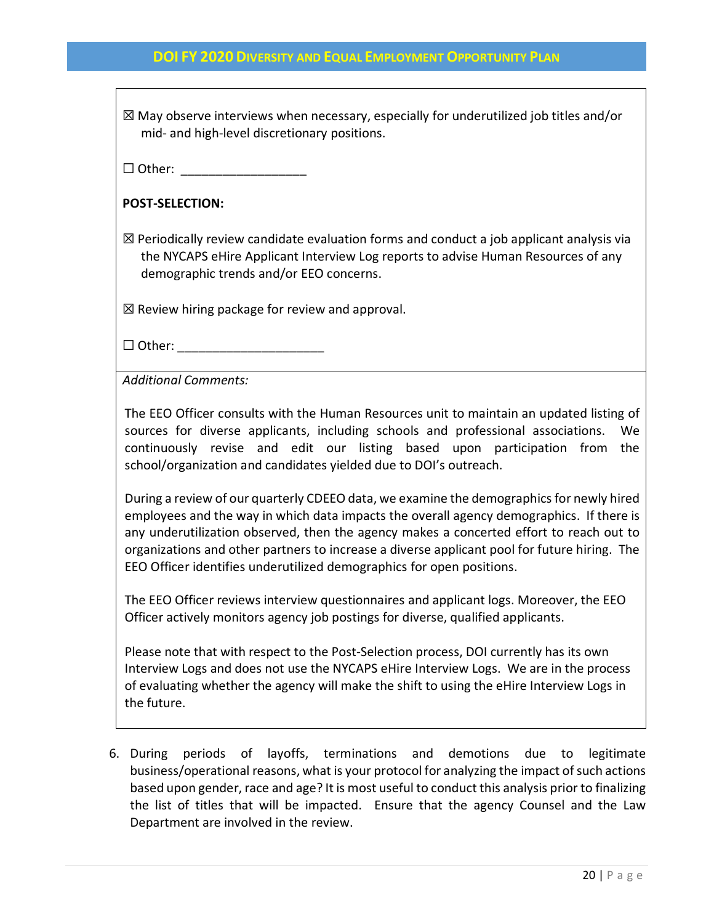| $\boxtimes$ May observe interviews when necessary, especially for underutilized job titles and/or<br>mid- and high-level discretionary positions.                                                                                                                                                                                                                                                                                                        |
|----------------------------------------------------------------------------------------------------------------------------------------------------------------------------------------------------------------------------------------------------------------------------------------------------------------------------------------------------------------------------------------------------------------------------------------------------------|
| $\Box$ Other:                                                                                                                                                                                                                                                                                                                                                                                                                                            |
| <b>POST-SELECTION:</b>                                                                                                                                                                                                                                                                                                                                                                                                                                   |
| $\boxtimes$ Periodically review candidate evaluation forms and conduct a job applicant analysis via<br>the NYCAPS eHire Applicant Interview Log reports to advise Human Resources of any<br>demographic trends and/or EEO concerns.                                                                                                                                                                                                                      |
| $\boxtimes$ Review hiring package for review and approval.                                                                                                                                                                                                                                                                                                                                                                                               |
| $\Box$ Other: __________________                                                                                                                                                                                                                                                                                                                                                                                                                         |
| <b>Additional Comments:</b>                                                                                                                                                                                                                                                                                                                                                                                                                              |
| The EEO Officer consults with the Human Resources unit to maintain an updated listing of<br>sources for diverse applicants, including schools and professional associations.<br>We<br>continuously revise and edit our listing based upon participation from<br>the<br>school/organization and candidates yielded due to DOI's outreach.                                                                                                                 |
| During a review of our quarterly CDEEO data, we examine the demographics for newly hired<br>employees and the way in which data impacts the overall agency demographics. If there is<br>any underutilization observed, then the agency makes a concerted effort to reach out to<br>organizations and other partners to increase a diverse applicant pool for future hiring. The<br>EEO Officer identifies underutilized demographics for open positions. |
| The EEO Officer reviews interview questionnaires and applicant logs. Moreover, the EEO<br>Officer actively monitors agency job postings for diverse, qualified applicants.                                                                                                                                                                                                                                                                               |
| Please note that with respect to the Post-Selection process, DOI currently has its own<br>Interview Logs and does not use the NYCAPS eHire Interview Logs. We are in the process<br>of evaluating whether the agency will make the shift to using the eHire Interview Logs in<br>the future.                                                                                                                                                             |
|                                                                                                                                                                                                                                                                                                                                                                                                                                                          |

6. During periods of layoffs, terminations and demotions due to legitimate business/operational reasons, what is your protocol for analyzing the impact of such actions based upon gender, race and age? It is most useful to conduct this analysis prior to finalizing the list of titles that will be impacted. Ensure that the agency Counsel and the Law Department are involved in the review.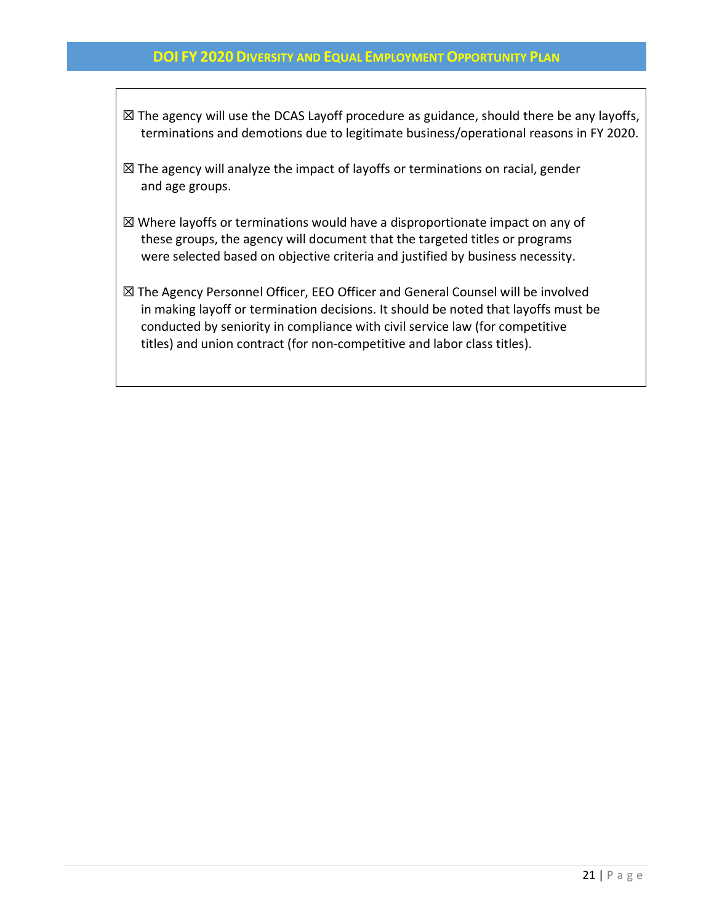- $\boxtimes$  The agency will use the DCAS Layoff procedure as guidance, should there be any layoffs, terminations and demotions due to legitimate business/operational reasons in FY 2020.
- $\boxtimes$  The agency will analyze the impact of layoffs or terminations on racial, gender and age groups.
- ☒ Where layoffs or terminations would have a disproportionate impact on any of these groups, the agency will document that the targeted titles or programs were selected based on objective criteria and justified by business necessity.
- ☒ The Agency Personnel Officer, EEO Officer and General Counsel will be involved in making layoff or termination decisions. It should be noted that layoffs must be conducted by seniority in compliance with civil service law (for competitive titles) and union contract (for non-competitive and labor class titles).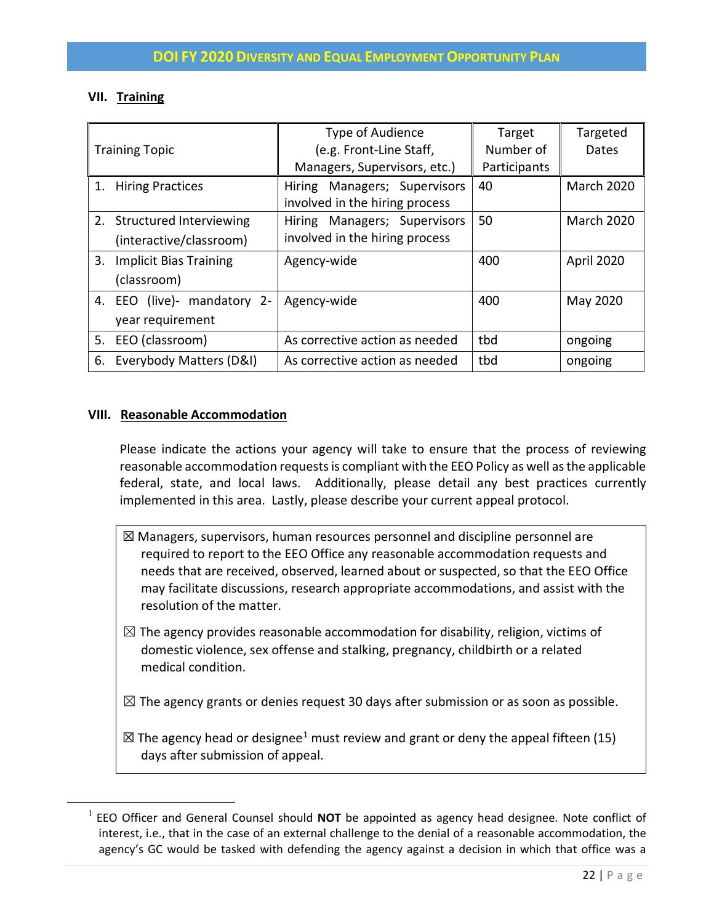## **VII. Training**

| <b>Training Topic</b>                                 | Type of Audience<br>(e.g. Front-Line Staff,                    | Target<br>Number of | Targeted<br>Dates |
|-------------------------------------------------------|----------------------------------------------------------------|---------------------|-------------------|
|                                                       | Managers, Supervisors, etc.)                                   | Participants        |                   |
| 1.<br><b>Hiring Practices</b>                         | Hiring Managers; Supervisors<br>involved in the hiring process | 40                  | <b>March 2020</b> |
| 2. Structured Interviewing<br>(interactive/classroom) | Hiring Managers; Supervisors<br>involved in the hiring process | 50                  | <b>March 2020</b> |
| 3.<br><b>Implicit Bias Training</b><br>(classroom)    | Agency-wide                                                    | 400                 | April 2020        |
| mandatory 2-<br>4. EEO (live)-<br>year requirement    | Agency-wide                                                    | 400                 | May 2020          |
| EEO (classroom)<br>5.                                 | As corrective action as needed                                 | tbd                 | ongoing           |
| Everybody Matters (D&I)<br>6.                         | As corrective action as needed                                 | tbd                 | ongoing           |

## **VIII. Reasonable Accommodation**

Please indicate the actions your agency will take to ensure that the process of reviewing reasonable accommodation requests is compliant with the EEO Policy as well as the applicable federal, state, and local laws. Additionally, please detail any best practices currently implemented in this area. Lastly, please describe your current appeal protocol.

- ☒ Managers, supervisors, human resources personnel and discipline personnel are required to report to the EEO Office any reasonable accommodation requests and needs that are received, observed, learned about or suspected, so that the EEO Office may facilitate discussions, research appropriate accommodations, and assist with the resolution of the matter.
- $\boxtimes$  The agency provides reasonable accommodation for disability, religion, victims of domestic violence, sex offense and stalking, pregnancy, childbirth or a related medical condition.
- $\boxtimes$  The agency grants or denies request 30 days after submission or as soon as possible.
- $\boxtimes$  The agency head or designee<sup>[1](#page-21-0)</sup> must review and grant or deny the appeal fifteen (15) days after submission of appeal.

<span id="page-21-0"></span> <sup>1</sup> EEO Officer and General Counsel should **NOT** be appointed as agency head designee. Note conflict of interest, i.e., that in the case of an external challenge to the denial of a reasonable accommodation, the agency's GC would be tasked with defending the agency against a decision in which that office was a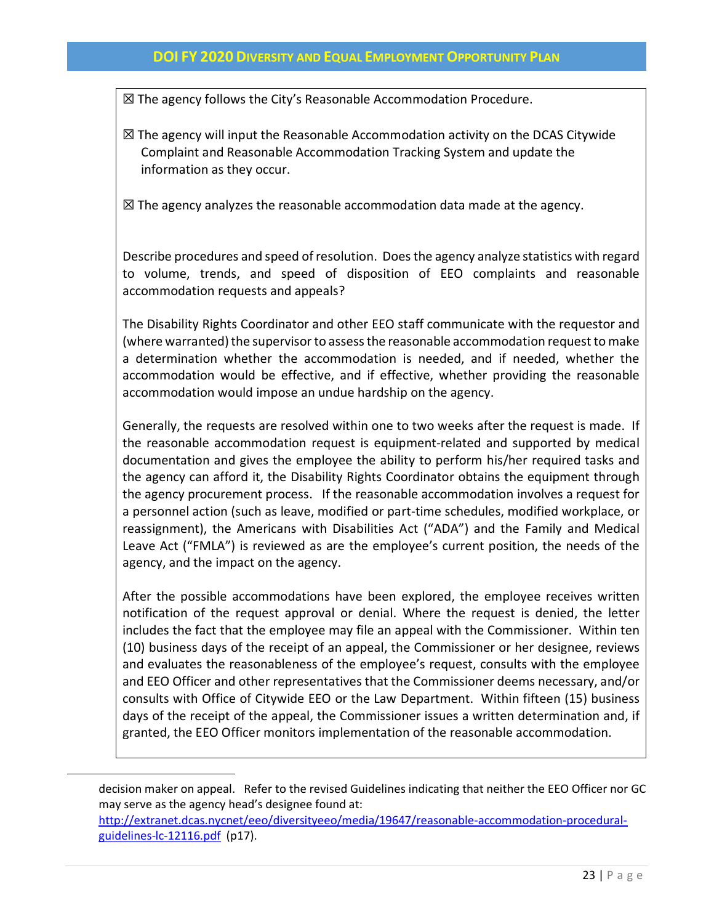☒ The agency follows the City's Reasonable Accommodation Procedure.

 $\boxtimes$  The agency will input the Reasonable Accommodation activity on the DCAS Citywide Complaint and Reasonable Accommodation Tracking System and update the information as they occur.

 $\boxtimes$  The agency analyzes the reasonable accommodation data made at the agency.

Describe procedures and speed of resolution. Does the agency analyze statistics with regard to volume, trends, and speed of disposition of EEO complaints and reasonable accommodation requests and appeals?

The Disability Rights Coordinator and other EEO staff communicate with the requestor and (where warranted) the supervisor to assess the reasonable accommodation request to make a determination whether the accommodation is needed, and if needed, whether the accommodation would be effective, and if effective, whether providing the reasonable accommodation would impose an undue hardship on the agency.

Generally, the requests are resolved within one to two weeks after the request is made. If the reasonable accommodation request is equipment-related and supported by medical documentation and gives the employee the ability to perform his/her required tasks and the agency can afford it, the Disability Rights Coordinator obtains the equipment through the agency procurement process. If the reasonable accommodation involves a request for a personnel action (such as leave, modified or part-time schedules, modified workplace, or reassignment), the Americans with Disabilities Act ("ADA") and the Family and Medical Leave Act ("FMLA") is reviewed as are the employee's current position, the needs of the agency, and the impact on the agency.

After the possible accommodations have been explored, the employee receives written notification of the request approval or denial. Where the request is denied, the letter includes the fact that the employee may file an appeal with the Commissioner. Within ten (10) business days of the receipt of an appeal, the Commissioner or her designee, reviews and evaluates the reasonableness of the employee's request, consults with the employee and EEO Officer and other representatives that the Commissioner deems necessary, and/or consults with Office of Citywide EEO or the Law Department. Within fifteen (15) business days of the receipt of the appeal, the Commissioner issues a written determination and, if granted, the EEO Officer monitors implementation of the reasonable accommodation.

decision maker on appeal. Refer to the revised Guidelines indicating that neither the EEO Officer nor GC may serve as the agency head's designee found at:

 $\overline{a}$ 

[http://extranet.dcas.nycnet/eeo/diversityeeo/media/19647/reasonable-accommodation-procedural](http://extranet.dcas.nycnet/eeo/diversityeeo/media/19647/reasonable-accommodation-procedural-guidelines-lc-12116.pdf)[guidelines-lc-12116.pdf](http://extranet.dcas.nycnet/eeo/diversityeeo/media/19647/reasonable-accommodation-procedural-guidelines-lc-12116.pdf) (p17).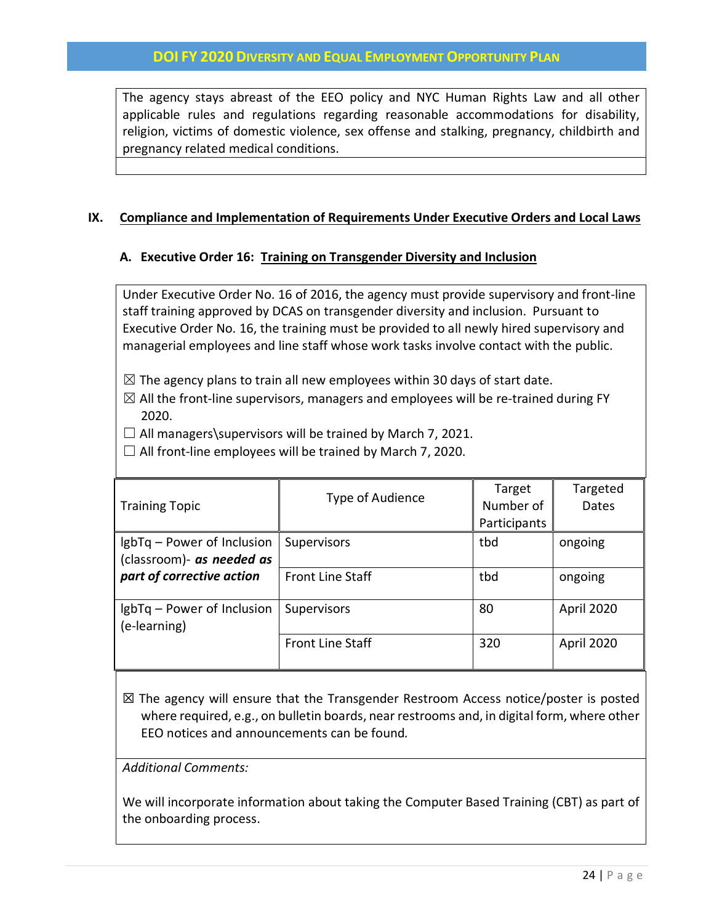The agency stays abreast of the EEO policy and NYC Human Rights Law and all other applicable rules and regulations regarding reasonable accommodations for disability, religion, victims of domestic violence, sex offense and stalking, pregnancy, childbirth and pregnancy related medical conditions.

## **IX. Compliance and Implementation of Requirements Under Executive Orders and Local Laws**

## **A. Executive Order 16: Training on Transgender Diversity and Inclusion**

Under Executive Order No. 16 of 2016, the agency must provide supervisory and front-line staff training approved by DCAS on transgender diversity and inclusion. Pursuant to Executive Order No. 16, the training must be provided to all newly hired supervisory and managerial employees and line staff whose work tasks involve contact with the public.

- $\boxtimes$  The agency plans to train all new employees within 30 days of start date.
- $\boxtimes$  All the front-line supervisors, managers and employees will be re-trained during FY 2020.
- $\Box$  All managers\supervisors will be trained by March 7, 2021.
- $\Box$  All front-line employees will be trained by March 7, 2020.

| <b>Training Topic</b>                                   | Type of Audience        | Target<br>Number of<br>Participants | Targeted<br>Dates |
|---------------------------------------------------------|-------------------------|-------------------------------------|-------------------|
| lgbTq – Power of Inclusion<br>(classroom)- as needed as | <b>Supervisors</b>      | tbd                                 | ongoing           |
| part of corrective action                               | <b>Front Line Staff</b> | tbd                                 | ongoing           |
| IgbTq – Power of Inclusion<br>(e-learning)              | Supervisors             | 80                                  | April 2020        |
|                                                         | <b>Front Line Staff</b> | 320                                 | April 2020        |

 $\boxtimes$  The agency will ensure that the Transgender Restroom Access notice/poster is posted where required, e.g., on bulletin boards, near restrooms and, in digital form, where other EEO notices and announcements can be found*.*

*Additional Comments:*

We will incorporate information about taking the Computer Based Training (CBT) as part of the onboarding process.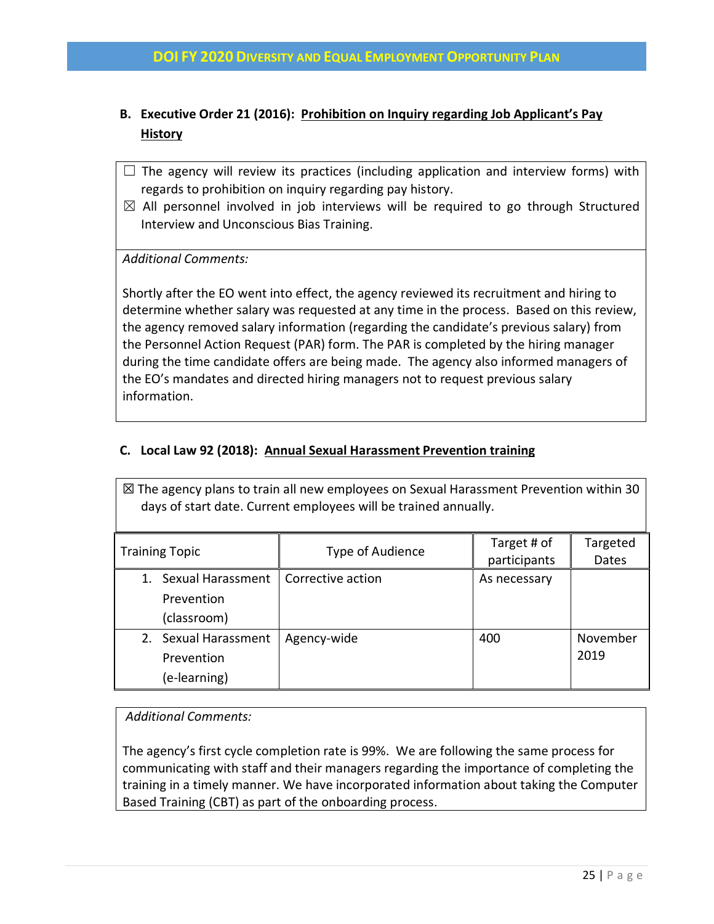## **B. Executive Order 21 (2016): Prohibition on Inquiry regarding Job Applicant's Pay History**

- $\square$  The agency will review its practices (including application and interview forms) with regards to prohibition on inquiry regarding pay history.
- $\boxtimes$  All personnel involved in job interviews will be required to go through Structured Interview and Unconscious Bias Training.

*Additional Comments:*

Shortly after the EO went into effect, the agency reviewed its recruitment and hiring to determine whether salary was requested at any time in the process. Based on this review, the agency removed salary information (regarding the candidate's previous salary) from the Personnel Action Request (PAR) form. The PAR is completed by the hiring manager during the time candidate offers are being made. The agency also informed managers of the EO's mandates and directed hiring managers not to request previous salary information.

## **C. Local Law 92 (2018): Annual Sexual Harassment Prevention training**

| $\boxtimes$ The agency plans to train all new employees on Sexual Harassment Prevention within 30<br>days of start date. Current employees will be trained annually. |                   |                             |                   |
|----------------------------------------------------------------------------------------------------------------------------------------------------------------------|-------------------|-----------------------------|-------------------|
| <b>Training Topic</b>                                                                                                                                                | Type of Audience  | Target # of<br>participants | Targeted<br>Dates |
| 1. Sexual Harassment<br>Prevention<br>(classroom)                                                                                                                    | Corrective action | As necessary                |                   |
| 2. Sexual Harassment<br>Prevention<br>(e-learning)                                                                                                                   | Agency-wide       | 400                         | November<br>2019  |

## *Additional Comments:*

The agency's first cycle completion rate is 99%. We are following the same process for communicating with staff and their managers regarding the importance of completing the training in a timely manner. We have incorporated information about taking the Computer Based Training (CBT) as part of the onboarding process.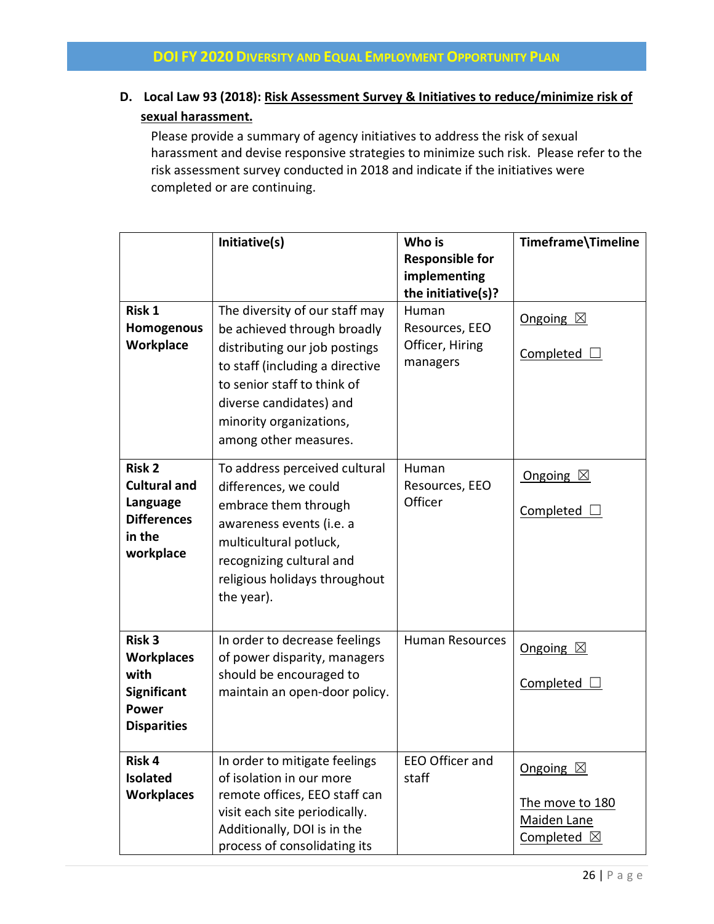## **D. Local Law 93 (2018): Risk Assessment Survey & Initiatives to reduce/minimize risk of sexual harassment.**

Please provide a summary of agency initiatives to address the risk of sexual harassment and devise responsive strategies to minimize such risk. Please refer to the risk assessment survey conducted in 2018 and indicate if the initiatives were completed or are continuing.

|                                      | Initiative(s)                                             | Who is                             | Timeframe\Timeline    |
|--------------------------------------|-----------------------------------------------------------|------------------------------------|-----------------------|
|                                      |                                                           | <b>Responsible for</b>             |                       |
|                                      |                                                           | implementing<br>the initiative(s)? |                       |
| <b>Risk 1</b>                        | The diversity of our staff may                            | Human                              |                       |
| Homogenous                           | be achieved through broadly                               | Resources, EEO                     | Ongoing $\boxtimes$   |
| Workplace                            | distributing our job postings                             | Officer, Hiring                    | Completed $\Box$      |
|                                      | to staff (including a directive                           | managers                           |                       |
|                                      | to senior staff to think of                               |                                    |                       |
|                                      | diverse candidates) and                                   |                                    |                       |
|                                      | minority organizations,                                   |                                    |                       |
|                                      | among other measures.                                     |                                    |                       |
| <b>Risk 2</b>                        | To address perceived cultural                             | Human                              | Ongoing $\boxtimes$   |
| <b>Cultural and</b>                  | differences, we could                                     | Resources, EEO                     |                       |
| Language<br><b>Differences</b>       | embrace them through                                      | Officer                            | Completed             |
| in the                               | awareness events (i.e. a                                  |                                    |                       |
| workplace                            | multicultural potluck,<br>recognizing cultural and        |                                    |                       |
|                                      | religious holidays throughout                             |                                    |                       |
|                                      | the year).                                                |                                    |                       |
|                                      |                                                           |                                    |                       |
| <b>Risk 3</b>                        | In order to decrease feelings                             | <b>Human Resources</b>             | Ongoing $\boxtimes$   |
| <b>Workplaces</b>                    | of power disparity, managers                              |                                    |                       |
| with<br><b>Significant</b>           | should be encouraged to<br>maintain an open-door policy.  |                                    | Completed             |
| <b>Power</b>                         |                                                           |                                    |                       |
| <b>Disparities</b>                   |                                                           |                                    |                       |
|                                      |                                                           |                                    |                       |
| Risk 4                               | In order to mitigate feelings                             | EEO Officer and                    | Ongoing $\boxtimes$   |
| <b>Isolated</b><br><b>Workplaces</b> | of isolation in our more<br>remote offices, EEO staff can | staff                              |                       |
|                                      | visit each site periodically.                             |                                    | The move to 180       |
|                                      | Additionally, DOI is in the                               |                                    | Maiden Lane           |
|                                      | process of consolidating its                              |                                    | Completed $\boxtimes$ |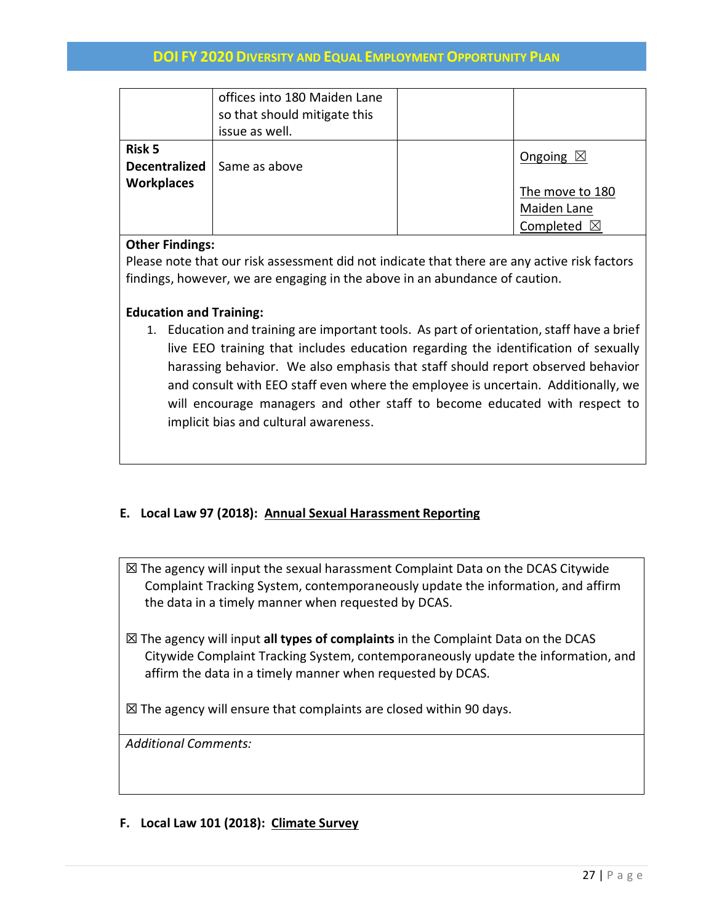|                                                            | offices into 180 Maiden Lane<br>so that should mitigate this<br>issue as well. |                                                         |
|------------------------------------------------------------|--------------------------------------------------------------------------------|---------------------------------------------------------|
| <b>Risk 5</b><br><b>Decentralized</b><br><b>Workplaces</b> | Same as above                                                                  | Ongoing $\boxtimes$                                     |
|                                                            |                                                                                | The move to 180<br>Maiden Lane<br>Completed $\boxtimes$ |

#### **Other Findings:**

Please note that our risk assessment did not indicate that there are any active risk factors findings, however, we are engaging in the above in an abundance of caution.

## **Education and Training:**

1. Education and training are important tools. As part of orientation, staff have a brief live EEO training that includes education regarding the identification of sexually harassing behavior. We also emphasis that staff should report observed behavior and consult with EEO staff even where the employee is uncertain. Additionally, we will encourage managers and other staff to become educated with respect to implicit bias and cultural awareness.

## **E. Local Law 97 (2018): Annual Sexual Harassment Reporting**

- ☒ The agency will input the sexual harassment Complaint Data on the DCAS Citywide Complaint Tracking System, contemporaneously update the information, and affirm the data in a timely manner when requested by DCAS.
- ☒ The agency will input **all types of complaints** in the Complaint Data on the DCAS Citywide Complaint Tracking System, contemporaneously update the information, and affirm the data in a timely manner when requested by DCAS.

 $\boxtimes$  The agency will ensure that complaints are closed within 90 days.

*Additional Comments:*

## **F. Local Law 101 (2018): Climate Survey**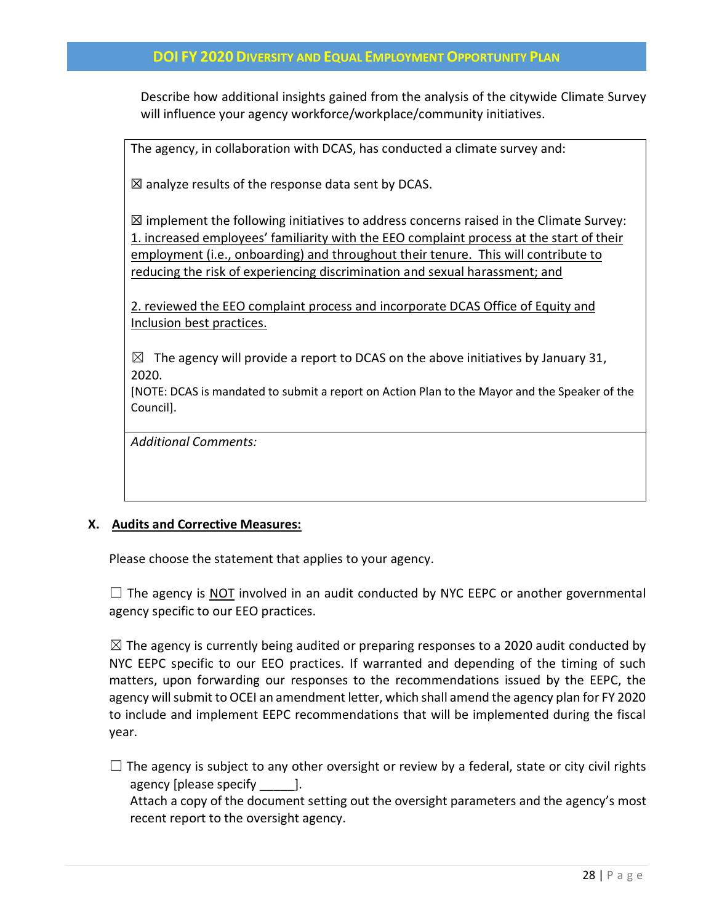Describe how additional insights gained from the analysis of the citywide Climate Survey will influence your agency workforce/workplace/community initiatives.

The agency, in collaboration with DCAS, has conducted a climate survey and:

 $\boxtimes$  analyze results of the response data sent by DCAS.

 $\boxtimes$  implement the following initiatives to address concerns raised in the Climate Survey: 1. increased employees' familiarity with the EEO complaint process at the start of their employment (i.e., onboarding) and throughout their tenure. This will contribute to reducing the risk of experiencing discrimination and sexual harassment; and

2. reviewed the EEO complaint process and incorporate DCAS Office of Equity and Inclusion best practices.

 $\boxtimes$  The agency will provide a report to DCAS on the above initiatives by January 31, 2020.

[NOTE: DCAS is mandated to submit a report on Action Plan to the Mayor and the Speaker of the Council].

*Additional Comments:*

#### **X. Audits and Corrective Measures:**

Please choose the statement that applies to your agency.

 $\Box$  The agency is NOT involved in an audit conducted by NYC EEPC or another governmental agency specific to our EEO practices.

 $\boxtimes$  The agency is currently being audited or preparing responses to a 2020 audit conducted by NYC EEPC specific to our EEO practices. If warranted and depending of the timing of such matters, upon forwarding our responses to the recommendations issued by the EEPC, the agency will submit to OCEI an amendment letter, which shall amend the agency plan for FY 2020 to include and implement EEPC recommendations that will be implemented during the fiscal year.

 $\Box$  The agency is subject to any other oversight or review by a federal, state or city civil rights agency [please specify [1].

Attach a copy of the document setting out the oversight parameters and the agency's most recent report to the oversight agency.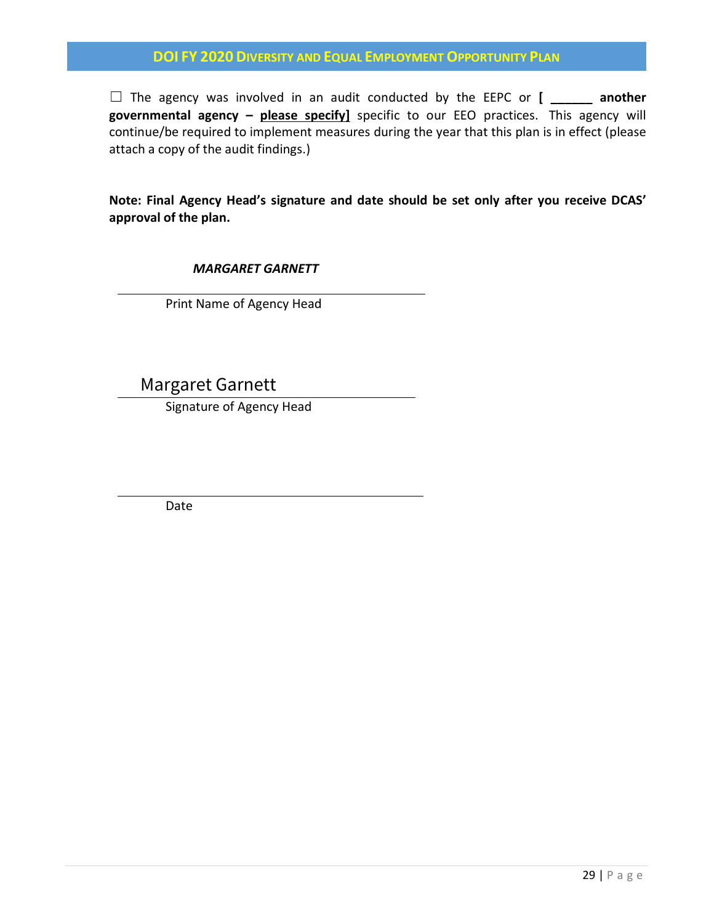□ The agency was involved in an audit conducted by the EEPC or **[** another **governmental agency – please specify]** specific to our EEO practices. This agency will continue/be required to implement measures during the year that this plan is in effect (please attach a copy of the audit findings.)

**Note: Final Agency Head's signature and date should be set only after you receive DCAS' approval of the plan.** 

*MARGARET GARNETT*

Print Name of Agency Head

Margaret Garnett

Signature of Agency Head

Date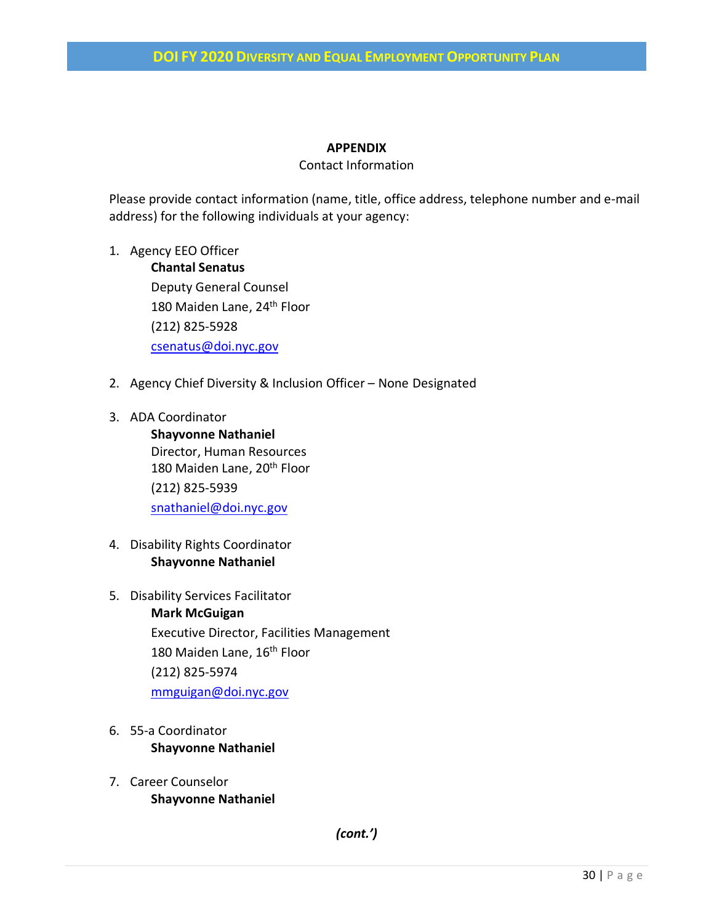## **APPENDIX**

#### Contact Information

Please provide contact information (name, title, office address, telephone number and e-mail address) for the following individuals at your agency:

- 1. Agency EEO Officer **Chantal Senatus** Deputy General Counsel 180 Maiden Lane, 24<sup>th</sup> Floor (212) 825-5928 [csenatus@doi.nyc.gov](mailto:csenatus@doi.nyc.gov)
- 2. Agency Chief Diversity & Inclusion Officer None Designated
- 3. ADA Coordinator **Shayvonne Nathaniel** Director, Human Resources 180 Maiden Lane, 20<sup>th</sup> Floor (212) 825-5939 [snathaniel@doi.nyc.gov](mailto:snathaniel@doi.nyc.gov)
- 4. Disability Rights Coordinator **Shayvonne Nathaniel**
- 5. Disability Services Facilitator **Mark McGuigan** Executive Director, Facilities Management 180 Maiden Lane, 16<sup>th</sup> Floor (212) 825-5974 [mmguigan@doi.nyc.gov](mailto:mmguigan@doi.nyc.gov)
- 6. 55-a Coordinator **Shayvonne Nathaniel**
- 7. Career Counselor **Shayvonne Nathaniel**

*(cont.')*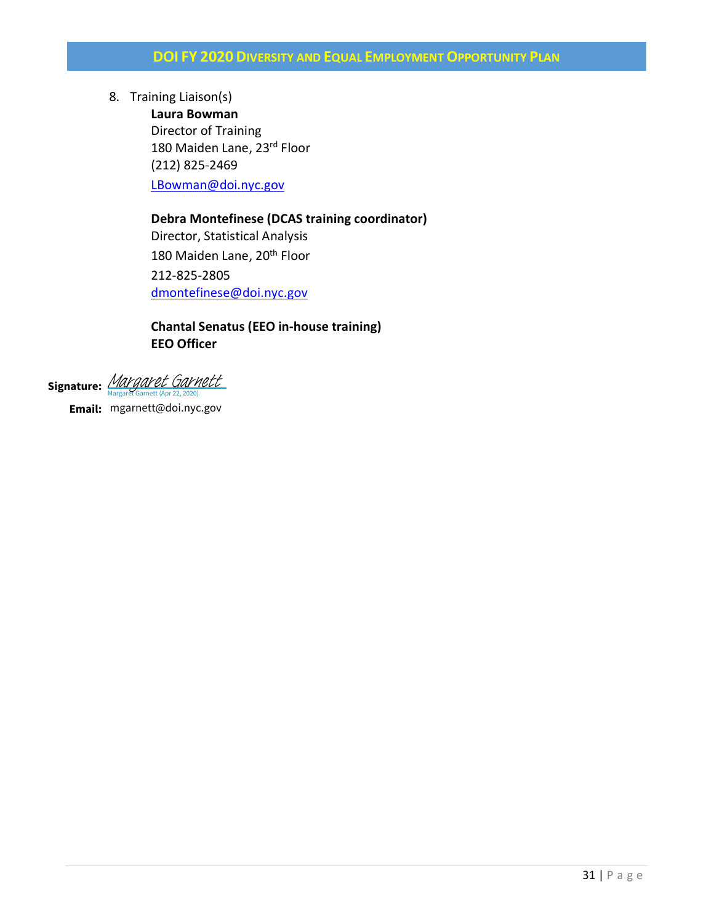8. Training Liaison(s)

**Laura Bowman** Director of Training 180 Maiden Lane, 23rd Floor (212) 825-2469 [LBowman@doi.nyc.gov](mailto:LBowman@doi.nyc.gov)

## **Debra Montefinese (DCAS training coordinator)**

Director, Statistical Analysis 180 Maiden Lane, 20<sup>th</sup> Floor 212-825-2805 [dmontefinese@doi.nyc.gov](mailto:dmontefinese@doi.nyc.gov)

## **Chantal Senatus (EEO in-house training) EEO Officer**

Signature: *[Margaret Garnett](https://na2.documents.adobe.com/verifier?tx=CBJCHBCAABAAmnj0dEgK3V2pMJ9_3pq_4zl2yJPhz6a2)* 

**Email:** mgarnett@doi.nyc.gov